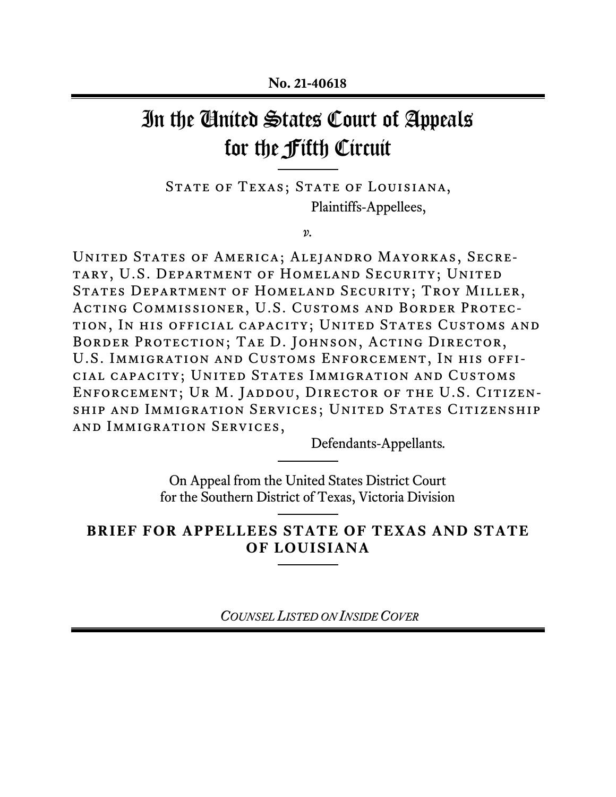# In the United States Court of Appeals for the Fifth Circuit

STATE OF TEXAS; STATE OF LOUISIANA, Plaintiffs-Appellees,

*v.* 

United States of America; Alejandro Mayorkas, Secretary, U.S. Department of Homeland Security; United STATES DEPARTMENT OF HOMELAND SECURITY; TROY MILLER, ACTING COMMISSIONER, U.S. CUSTOMS AND BORDER PROTECtion, In his official capacity; United States Customs and BORDER PROTECTION; TAE D. JOHNSON, ACTING DIRECTOR, U.S. Immigration and Customs Enforcement, In his official capacity; United States Immigration and Customs ENFORCEMENT; UR M. JADDOU, DIRECTOR OF THE U.S. CITIZENship and Immigration Services; United States Citizenship and Immigration Services,

Defendants-Appellants*.* 

On Appeal from the United States District Court for the Southern District of Texas, Victoria Division

**BRIEF FOR APPELLEES STATE OF TEXAS AND STATE OF LOUISIANA**   $\overline{a}$ 

*COUNSEL LISTED ON INSIDE COVER*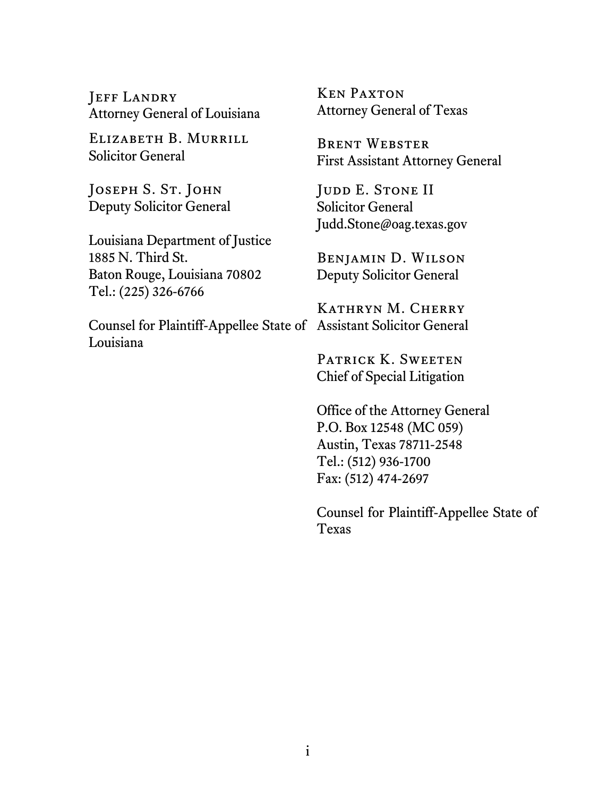JEFF LANDRY Attorney General of Louisiana

Elizabeth B. Murrill Solicitor General

JOSEPH S. ST. JOHN Deputy Solicitor General

Louisiana Department of Justice 1885 N. Third St. Baton Rouge, Louisiana 70802 Tel.: (225) 326-6766

Counsel for Plaintiff-Appellee State of Assistant Solicitor General Louisiana

Ken Paxton Attorney General of Texas

Brent Webster First Assistant Attorney General

JUDD E. STONE II Solicitor General Judd.Stone@oag.texas.gov

Benjamin D. Wilson Deputy Solicitor General

Kathryn M. Cherry

PATRICK K. SWEETEN Chief of Special Litigation

Office of the Attorney General P.O. Box 12548 (MC 059) Austin, Texas 78711-2548 Tel.: (512) 936-1700 Fax: (512) 474-2697

Counsel for Plaintiff-Appellee State of Texas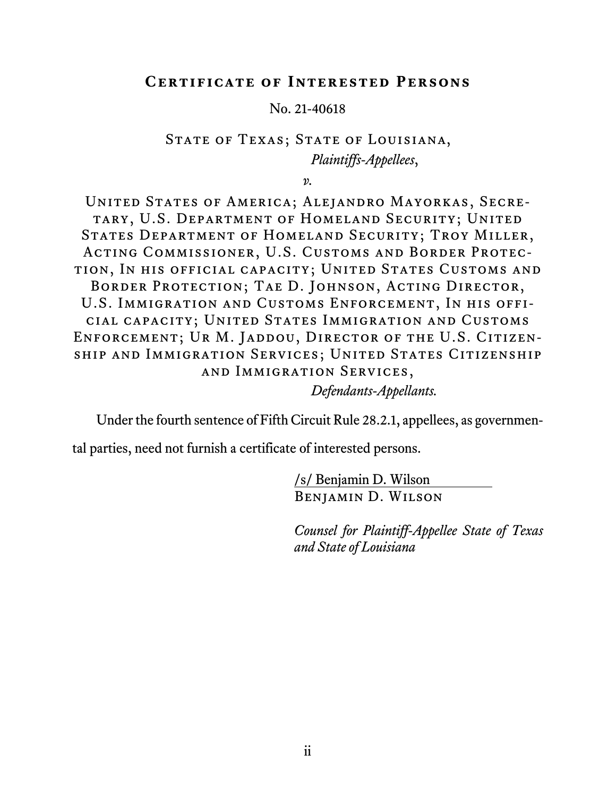#### **Certificate of Interested Persons**

No. 21-40618

## STATE OF TEXAS; STATE OF LOUISIANA, *Plaintiffs-Appellees*,

*v.* 

United States of America; Alejandro Mayorkas, Secretary, U.S. Department of Homeland Security; United STATES DEPARTMENT OF HOMELAND SECURITY; TROY MILLER, ACTING COMMISSIONER, U.S. CUSTOMS AND BORDER PROTECtion, In his official capacity; United States Customs and BORDER PROTECTION; TAE D. JOHNSON, ACTING DIRECTOR, U.S. Immigration and Customs Enforcement, In his official capacity; United States Immigration and Customs Enforcement; Ur M. Jaddou, Director of the U.S. Citizenship and Immigration Services; United States Citizenship and Immigration Services,

*Defendants-Appellants.* 

Under the fourth sentence of Fifth Circuit Rule 28.2.1, appellees, as governmen-

tal parties, need not furnish a certificate of interested persons.

/s/ Benjamin D. Wilson Benjamin D. Wilson

*Counsel for Plaintiff-Appellee State of Texas and State of Louisiana*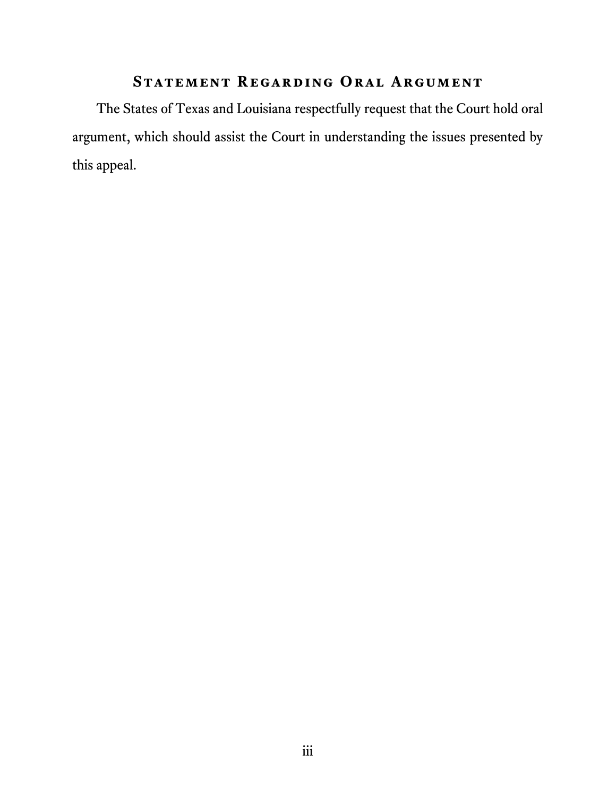## **Statement Regarding Oral Argument**

The States of Texas and Louisiana respectfully request that the Court hold oral argument, which should assist the Court in understanding the issues presented by this appeal.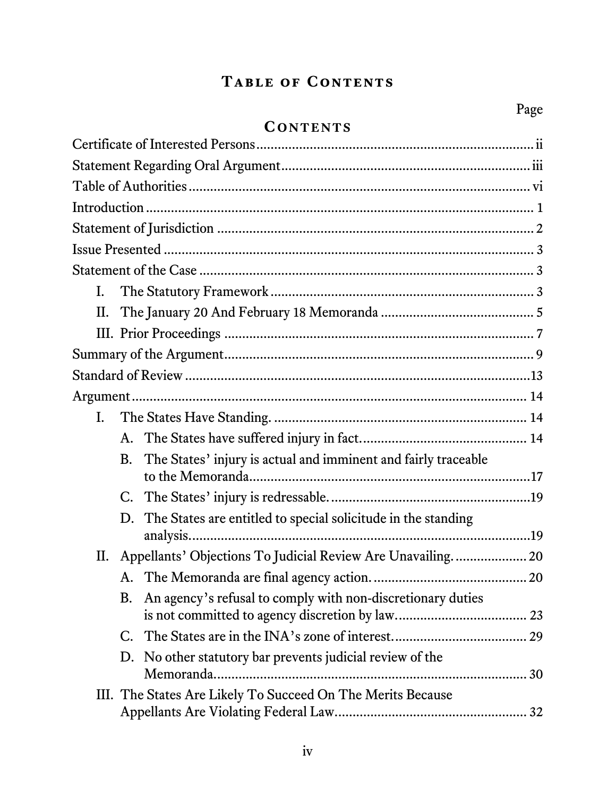## **Table of Contents**

## **CONTENTS**

| I. |    |                                                                  |  |
|----|----|------------------------------------------------------------------|--|
| П. |    |                                                                  |  |
|    |    |                                                                  |  |
|    |    |                                                                  |  |
|    |    |                                                                  |  |
|    |    |                                                                  |  |
| I. |    |                                                                  |  |
|    |    |                                                                  |  |
|    | B. | The States' injury is actual and imminent and fairly traceable   |  |
|    |    |                                                                  |  |
|    |    |                                                                  |  |
|    |    | D. The States are entitled to special solicitude in the standing |  |
|    |    | II. Appellants' Objections To Judicial Review Are Unavailing 20  |  |
|    |    |                                                                  |  |
|    | B. | An agency's refusal to comply with non-discretionary duties      |  |
|    |    |                                                                  |  |
|    |    |                                                                  |  |
|    | D. | No other statutory bar prevents judicial review of the           |  |
|    |    | III. The States Are Likely To Succeed On The Merits Because      |  |
|    |    |                                                                  |  |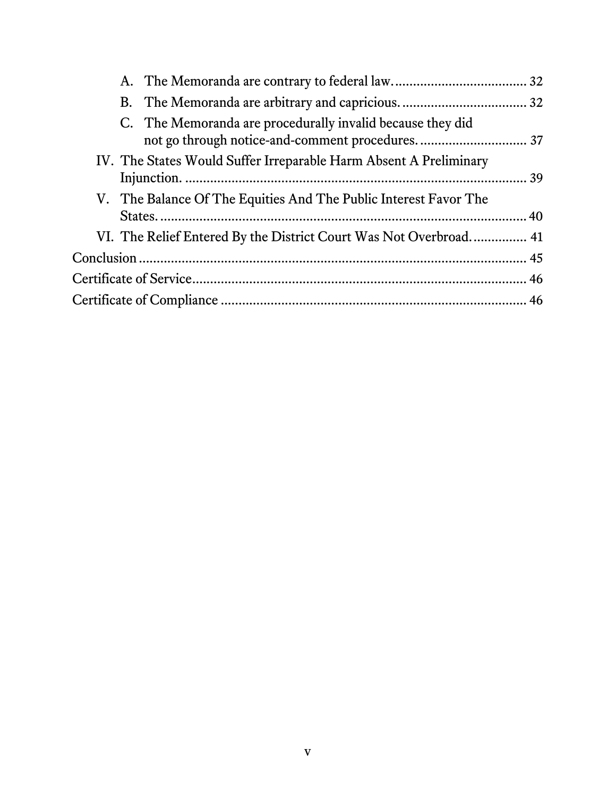|  | C. The Memoranda are procedurally invalid because they did        |  |
|--|-------------------------------------------------------------------|--|
|  | IV. The States Would Suffer Irreparable Harm Absent A Preliminary |  |
|  | V. The Balance Of The Equities And The Public Interest Favor The  |  |
|  | VI. The Relief Entered By the District Court Was Not Overbroad 41 |  |
|  |                                                                   |  |
|  |                                                                   |  |
|  |                                                                   |  |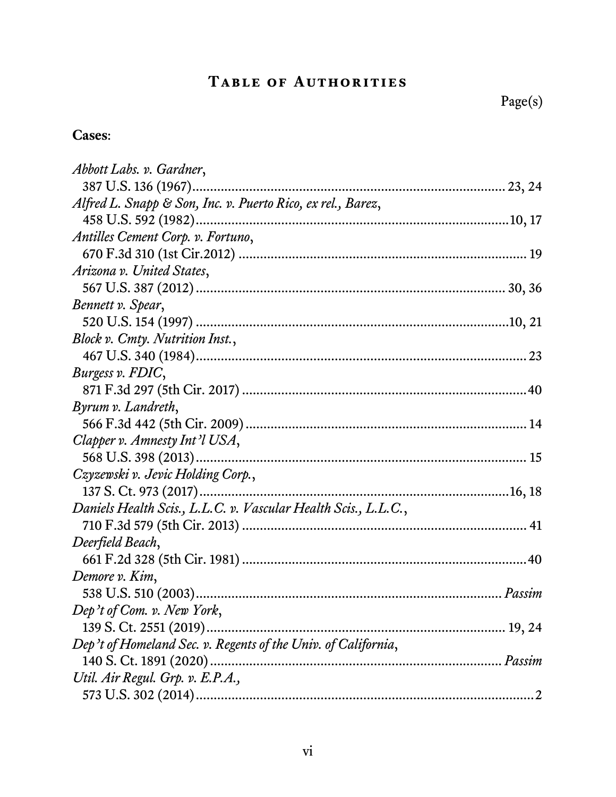## **Table of Authorities**

## **Cases**:

| Abbott Labs. v. Gardner,                                       |  |
|----------------------------------------------------------------|--|
|                                                                |  |
| Alfred L. Snapp & Son, Inc. v. Puerto Rico, ex rel., Barez,    |  |
|                                                                |  |
| Antilles Cement Corp. v. Fortuno,                              |  |
|                                                                |  |
| Arizona v. United States,                                      |  |
|                                                                |  |
| Bennett v. Spear,                                              |  |
|                                                                |  |
| Block v. Cmty. Nutrition Inst.,                                |  |
|                                                                |  |
| Burgess v. FDIC,                                               |  |
|                                                                |  |
| Byrum v. Landreth,                                             |  |
|                                                                |  |
| Clapper v. Amnesty Int'l USA,                                  |  |
|                                                                |  |
| Czyzewski v. Jevic Holding Corp.,                              |  |
|                                                                |  |
| Daniels Health Scis., L.L.C. v. Vascular Health Scis., L.L.C., |  |
|                                                                |  |
| Deerfield Beach,                                               |  |
|                                                                |  |
| Demore v. Kim,                                                 |  |
|                                                                |  |
| Dep't of Com. v. New York,                                     |  |
|                                                                |  |
| Dep't of Homeland Sec. v. Regents of the Univ. of California,  |  |
|                                                                |  |
| Util. Air Regul. Grp. v. E.P.A.,                               |  |
|                                                                |  |
|                                                                |  |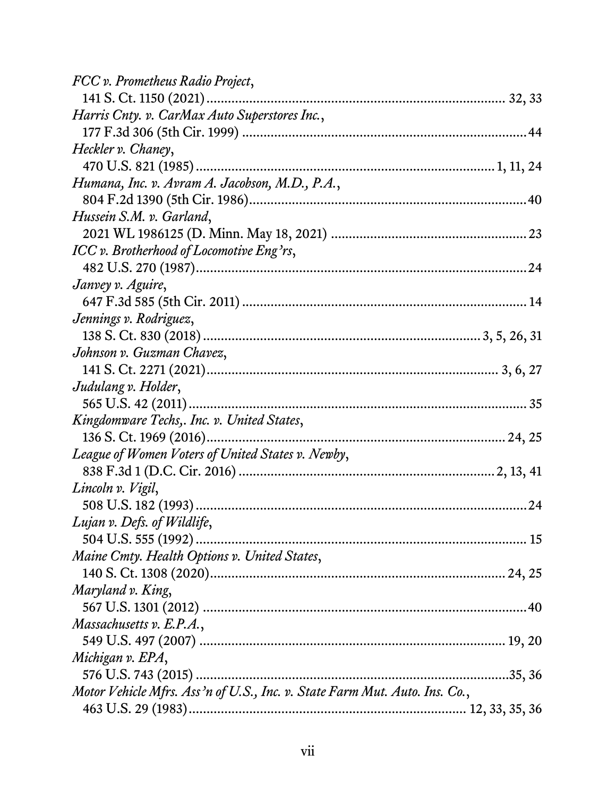| FCC v. Prometheus Radio Project,                                           |
|----------------------------------------------------------------------------|
|                                                                            |
| Harris Cnty. v. CarMax Auto Superstores Inc.,                              |
|                                                                            |
| Heckler v. Chaney,                                                         |
|                                                                            |
| Humana, Inc. v. Avram A. Jacobson, M.D., P.A.,                             |
|                                                                            |
| Hussein S.M. v. Garland,                                                   |
|                                                                            |
| ICC v. Brotherhood of Locomotive Eng'rs,                                   |
|                                                                            |
| Janvey v. Aguire,                                                          |
|                                                                            |
| Jennings v. Rodriguez,                                                     |
|                                                                            |
| Johnson v. Guzman Chavez,                                                  |
|                                                                            |
| Judulang v. Holder,                                                        |
|                                                                            |
| Kingdomware Techs,. Inc. v. United States,                                 |
|                                                                            |
| League of Women Voters of United States v. Newby,                          |
|                                                                            |
| Lincoln v. Vigil,                                                          |
| .24                                                                        |
| Lujan v. Defs. of Wildlife,                                                |
|                                                                            |
| Maine Cmty. Health Options v. United States,                               |
|                                                                            |
| Maryland v. King,                                                          |
|                                                                            |
| Massachusetts v. E.P.A.,                                                   |
|                                                                            |
| Michigan v. EPA,                                                           |
|                                                                            |
| Motor Vehicle Mfrs. Ass'n of U.S., Inc. v. State Farm Mut. Auto. Ins. Co., |
|                                                                            |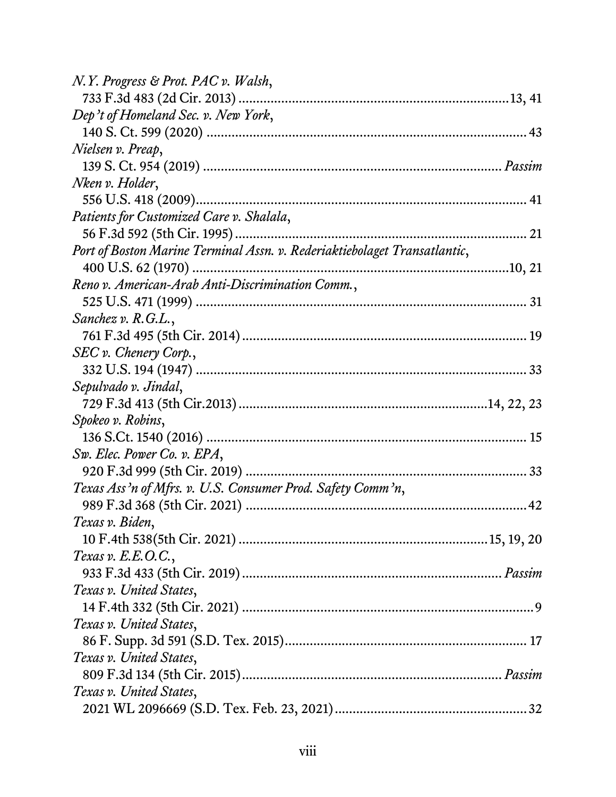| N.Y. Progress & Prot. PAC v. Walsh,                                       |
|---------------------------------------------------------------------------|
|                                                                           |
| Dep't of Homeland Sec. v. New York,                                       |
|                                                                           |
| Nielsen v. Preap,                                                         |
|                                                                           |
| Nken v. Holder,                                                           |
|                                                                           |
| Patients for Customized Care v. Shalala,                                  |
|                                                                           |
| Port of Boston Marine Terminal Assn. v. Rederiaktiebolaget Transatlantic, |
|                                                                           |
| Reno v. American-Arab Anti-Discrimination Comm.,                          |
|                                                                           |
| <i>Sanchez v. R.G.L.</i> ,                                                |
|                                                                           |
| SEC v. Chenery Corp.,                                                     |
|                                                                           |
| Sepulvado v. Jindal,                                                      |
|                                                                           |
| Spokeo v. Robins,                                                         |
|                                                                           |
| Sw. Elec. Power Co. v. EPA,                                               |
|                                                                           |
| Texas Ass'n of Mfrs. v. U.S. Consumer Prod. Safety Comm'n,                |
|                                                                           |
| Texas v. Biden,                                                           |
|                                                                           |
| Texas v. $E.E.O.C.,$                                                      |
|                                                                           |
| Texas v. United States,                                                   |
|                                                                           |
| Texas v. United States,                                                   |
|                                                                           |
| Texas v. United States,                                                   |
|                                                                           |
| Texas v. United States,                                                   |
|                                                                           |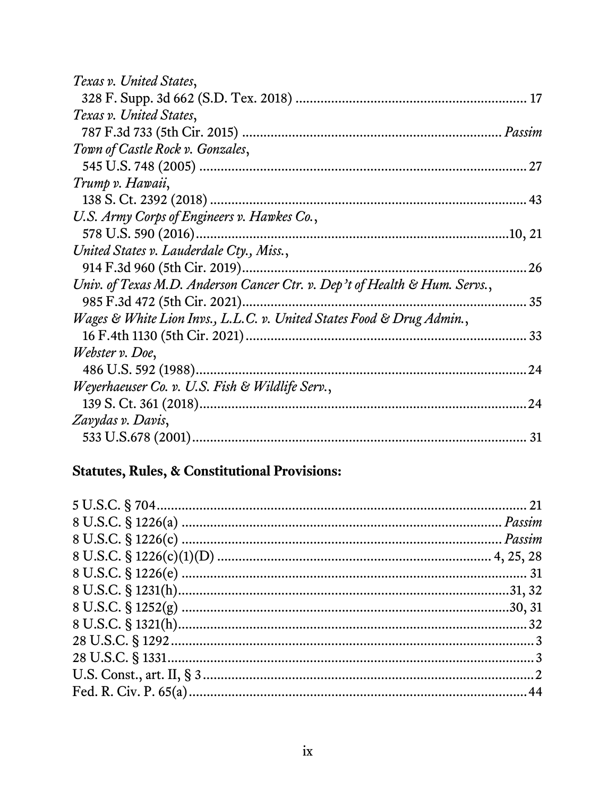| Texas v. United States,                                                    |    |
|----------------------------------------------------------------------------|----|
|                                                                            |    |
| Texas v. United States,                                                    |    |
|                                                                            |    |
| Town of Castle Rock v. Gonzales,                                           |    |
|                                                                            |    |
| Trump v. Hawaii,                                                           |    |
|                                                                            |    |
| U.S. Army Corps of Engineers v. Hawkes Co.,                                |    |
|                                                                            |    |
| United States v. Lauderdale Cty., Miss.,                                   |    |
|                                                                            | 26 |
| Univ. of Texas M.D. Anderson Cancer Ctr. v. Dep't of Health & Hum. Servs., |    |
|                                                                            | 35 |
| Wages & White Lion Invs., L.L.C. v. United States Food & Drug Admin.,      |    |
|                                                                            |    |
| Webster v. Doe,                                                            |    |
|                                                                            | 24 |
| Weyerhaeuser Co. v. U.S. Fish & Wildlife Serv.,                            |    |
|                                                                            | 24 |
| Zavydas v. Davis,                                                          |    |
|                                                                            | 31 |

## Statutes, Rules, & Constitutional Provisions: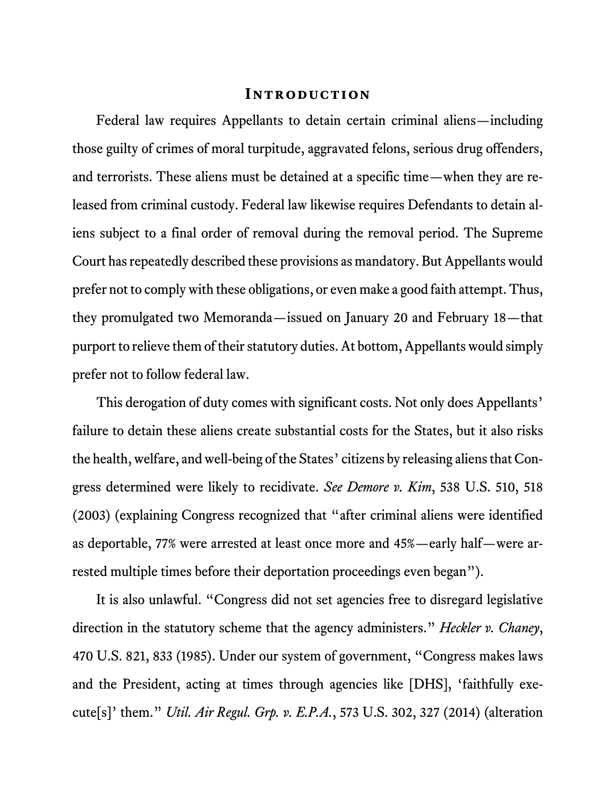#### **Introduction**

Federal law requires Appellants to detain certain criminal aliens—including those guilty of crimes of moral turpitude, aggravated felons, serious drug offenders, and terrorists. These aliens must be detained at a specific time—when they are released from criminal custody. Federal law likewise requires Defendants to detain aliens subject to a final order of removal during the removal period. The Supreme Court has repeatedly described these provisions as mandatory. But Appellants would prefer not to comply with these obligations, or even make a good faith attempt. Thus, they promulgated two Memoranda—issued on January 20 and February 18—that purport to relieve them of their statutory duties. At bottom, Appellants would simply prefer not to follow federal law.

This derogation of duty comes with significant costs. Not only does Appellants' failure to detain these aliens create substantial costs for the States, but it also risks the health, welfare, and well-being of the States' citizens by releasing aliens that Congress determined were likely to recidivate. *See Demore v. Kim*, 538 U.S. 510, 518 (2003) (explaining Congress recognized that "after criminal aliens were identified as deportable, 77% were arrested at least once more and 45%—early half—were arrested multiple times before their deportation proceedings even began").

It is also unlawful. "Congress did not set agencies free to disregard legislative direction in the statutory scheme that the agency administers." *Heckler v. Chaney*, 470 U.S. 821, 833 (1985). Under our system of government, "Congress makes laws and the President, acting at times through agencies like [DHS], 'faithfully execute[s]' them." *Util. Air Regul. Grp. v. E.P.A.*, 573 U.S. 302, 327 (2014) (alteration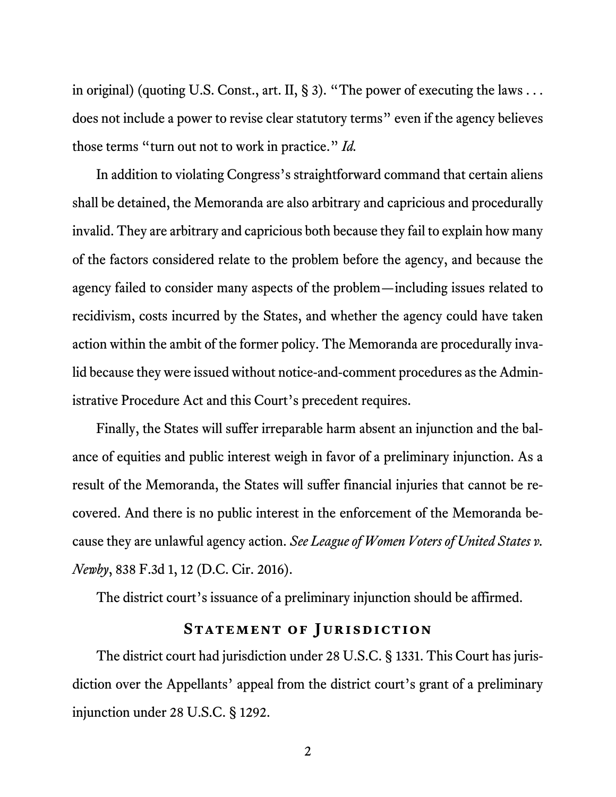in original) (quoting U.S. Const., art. II, § 3). "The power of executing the laws . . . does not include a power to revise clear statutory terms" even if the agency believes those terms "turn out not to work in practice." *Id.* 

In addition to violating Congress's straightforward command that certain aliens shall be detained, the Memoranda are also arbitrary and capricious and procedurally invalid. They are arbitrary and capricious both because they fail to explain how many of the factors considered relate to the problem before the agency, and because the agency failed to consider many aspects of the problem—including issues related to recidivism, costs incurred by the States, and whether the agency could have taken action within the ambit of the former policy. The Memoranda are procedurally invalid because they were issued without notice-and-comment procedures as the Administrative Procedure Act and this Court's precedent requires.

Finally, the States will suffer irreparable harm absent an injunction and the balance of equities and public interest weigh in favor of a preliminary injunction. As a result of the Memoranda, the States will suffer financial injuries that cannot be recovered. And there is no public interest in the enforcement of the Memoranda because they are unlawful agency action. *See League of Women Voters of United States v. Newby*, 838 F.3d 1, 12 (D.C. Cir. 2016).

The district court's issuance of a preliminary injunction should be affirmed.

#### **STATEMENT OF JURISDICTION**

The district court had jurisdiction under 28 U.S.C. § 1331. This Court has jurisdiction over the Appellants' appeal from the district court's grant of a preliminary injunction under 28 U.S.C. § 1292.

2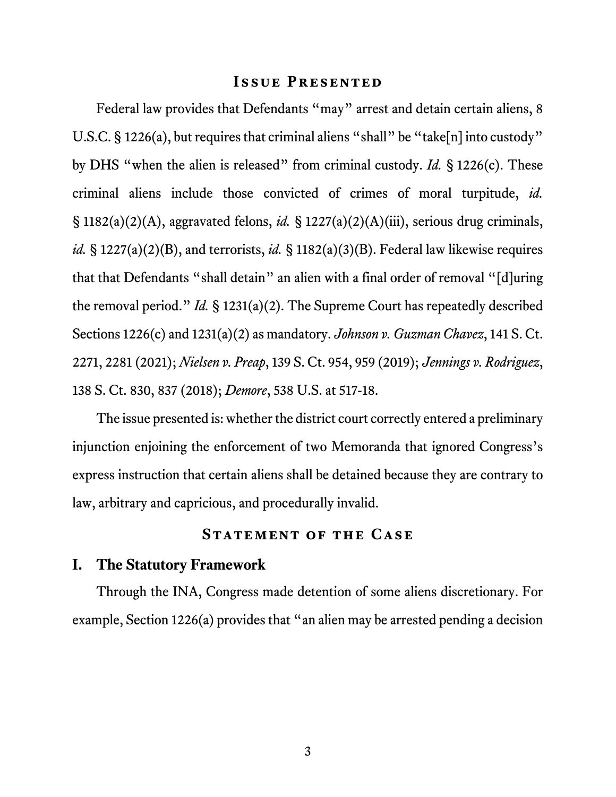#### **Issue Presented**

Federal law provides that Defendants "may" arrest and detain certain aliens, 8 U.S.C. § 1226(a), but requires that criminal aliens "shall" be "take[n] into custody" by DHS "when the alien is released" from criminal custody. *Id.* § 1226(c). These criminal aliens include those convicted of crimes of moral turpitude, *id.* § 1182(a)(2)(A), aggravated felons, *id.* § 1227(a)(2)(A)(iii), serious drug criminals, *id.* § 1227(a)(2)(B), and terrorists, *id.* § 1182(a)(3)(B). Federal law likewise requires that that Defendants "shall detain" an alien with a final order of removal "[d]uring the removal period." *Id.* § 1231(a)(2). The Supreme Court has repeatedly described Sections 1226(c) and 1231(a)(2) as mandatory. *Johnson v. Guzman Chavez*, 141 S. Ct. 2271, 2281 (2021); *Nielsen v. Preap*, 139 S. Ct. 954, 959 (2019); *Jennings v. Rodriguez*, 138 S. Ct. 830, 837 (2018); *Demore*, 538 U.S. at 517-18.

The issue presented is: whether the district court correctly entered a preliminary injunction enjoining the enforcement of two Memoranda that ignored Congress's express instruction that certain aliens shall be detained because they are contrary to law, arbitrary and capricious, and procedurally invalid.

#### **Statement of the Case**

#### **I. The Statutory Framework**

Through the INA, Congress made detention of some aliens discretionary. For example, Section 1226(a) provides that "an alien may be arrested pending a decision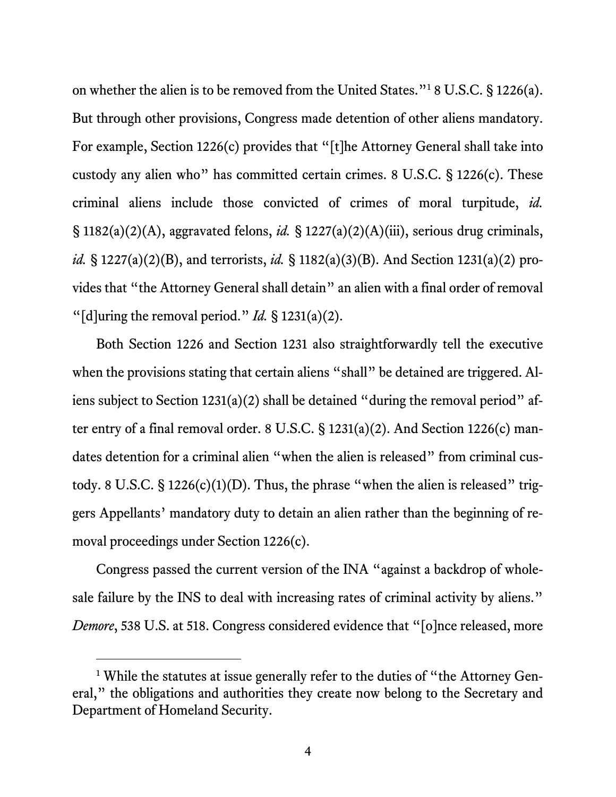on whether the alien is to be removed from the United States."<sup>1</sup> 8 U.S.C. § 1226(a). But through other provisions, Congress made detention of other aliens mandatory. For example, Section 1226(c) provides that "[t]he Attorney General shall take into custody any alien who" has committed certain crimes. 8 U.S.C. § 1226(c). These criminal aliens include those convicted of crimes of moral turpitude, *id.* § 1182(a)(2)(A), aggravated felons, *id.* § 1227(a)(2)(A)(iii), serious drug criminals, *id.* § 1227(a)(2)(B), and terrorists, *id.* § 1182(a)(3)(B). And Section 1231(a)(2) provides that "the Attorney General shall detain" an alien with a final order of removal "[d]uring the removal period." *Id.* § 1231(a)(2).

Both Section 1226 and Section 1231 also straightforwardly tell the executive when the provisions stating that certain aliens "shall" be detained are triggered. Aliens subject to Section 1231(a)(2) shall be detained "during the removal period" after entry of a final removal order. 8 U.S.C. § 1231(a)(2). And Section 1226(c) mandates detention for a criminal alien "when the alien is released" from criminal custody. 8 U.S.C.  $\S 1226(c)(1)(D)$ . Thus, the phrase "when the alien is released" triggers Appellants' mandatory duty to detain an alien rather than the beginning of removal proceedings under Section 1226(c).

Congress passed the current version of the INA "against a backdrop of wholesale failure by the INS to deal with increasing rates of criminal activity by aliens." *Demore*, 538 U.S. at 518. Congress considered evidence that "[o]nce released, more

<sup>&</sup>lt;sup>1</sup> While the statutes at issue generally refer to the duties of "the Attorney General," the obligations and authorities they create now belong to the Secretary and Department of Homeland Security.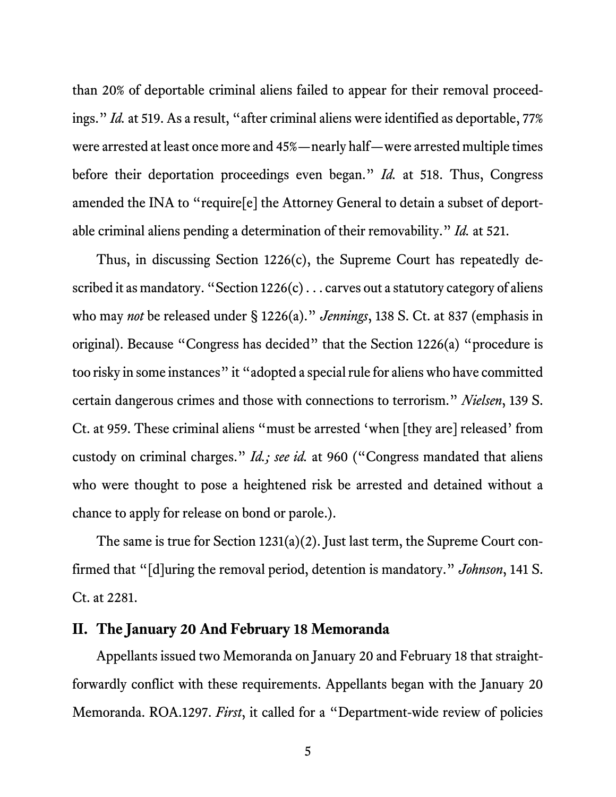than 20% of deportable criminal aliens failed to appear for their removal proceedings." *Id.* at 519. As a result, "after criminal aliens were identified as deportable, 77% were arrested at least once more and 45%—nearly half—were arrested multiple times before their deportation proceedings even began." *Id.* at 518. Thus, Congress amended the INA to "require[e] the Attorney General to detain a subset of deportable criminal aliens pending a determination of their removability." *Id.* at 521.

Thus, in discussing Section 1226(c), the Supreme Court has repeatedly described it as mandatory. "Section  $1226(c)$ ... carves out a statutory category of aliens who may *not* be released under § 1226(a)." *Jennings*, 138 S. Ct. at 837 (emphasis in original). Because "Congress has decided" that the Section 1226(a) "procedure is too risky in some instances" it "adopted a special rule for aliens who have committed certain dangerous crimes and those with connections to terrorism." *Nielsen*, 139 S. Ct. at 959. These criminal aliens "must be arrested 'when [they are] released' from custody on criminal charges." *Id.; see id.* at 960 ("Congress mandated that aliens who were thought to pose a heightened risk be arrested and detained without a chance to apply for release on bond or parole.).

The same is true for Section 1231(a)(2). Just last term, the Supreme Court confirmed that "[d]uring the removal period, detention is mandatory." *Johnson*, 141 S. Ct. at 2281.

#### **II. The January 20 And February 18 Memoranda**

Appellants issued two Memoranda on January 20 and February 18 that straightforwardly conflict with these requirements. Appellants began with the January 20 Memoranda. ROA.1297. *First*, it called for a "Department-wide review of policies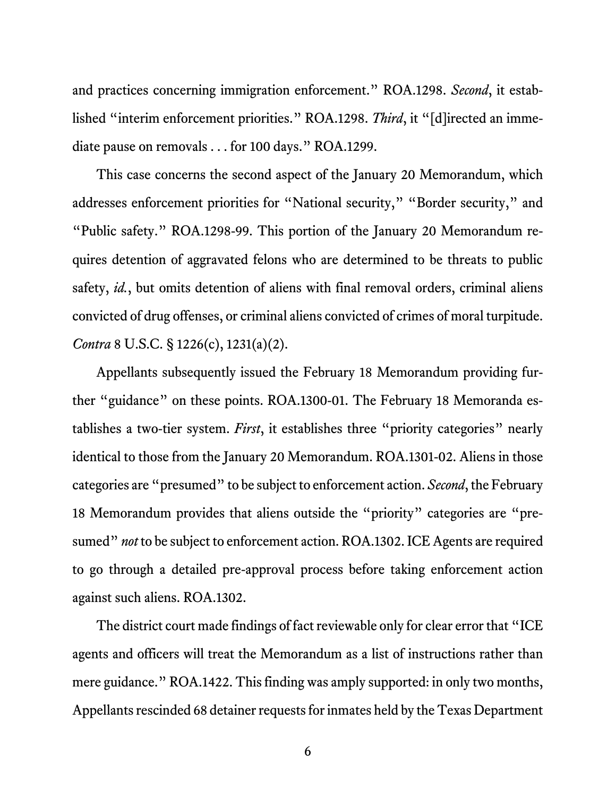and practices concerning immigration enforcement." ROA.1298. *Second*, it established "interim enforcement priorities." ROA.1298. *Third*, it "[d]irected an immediate pause on removals . . . for 100 days." ROA.1299.

This case concerns the second aspect of the January 20 Memorandum, which addresses enforcement priorities for "National security," "Border security," and "Public safety." ROA.1298-99. This portion of the January 20 Memorandum requires detention of aggravated felons who are determined to be threats to public safety, *id.*, but omits detention of aliens with final removal orders, criminal aliens convicted of drug offenses, or criminal aliens convicted of crimes of moral turpitude. *Contra* 8 U.S.C. § 1226(c), 1231(a)(2).

Appellants subsequently issued the February 18 Memorandum providing further "guidance" on these points. ROA.1300-01. The February 18 Memoranda establishes a two-tier system. *First*, it establishes three "priority categories" nearly identical to those from the January 20 Memorandum. ROA.1301-02. Aliens in those categories are "presumed" to be subject to enforcement action. *Second*, the February 18 Memorandum provides that aliens outside the "priority" categories are "presumed" *not* to be subject to enforcement action. ROA.1302. ICE Agents are required to go through a detailed pre-approval process before taking enforcement action against such aliens. ROA.1302.

The district court made findings of fact reviewable only for clear error that "ICE agents and officers will treat the Memorandum as a list of instructions rather than mere guidance." ROA.1422. This finding was amply supported: in only two months, Appellants rescinded 68 detainer requests for inmates held by the Texas Department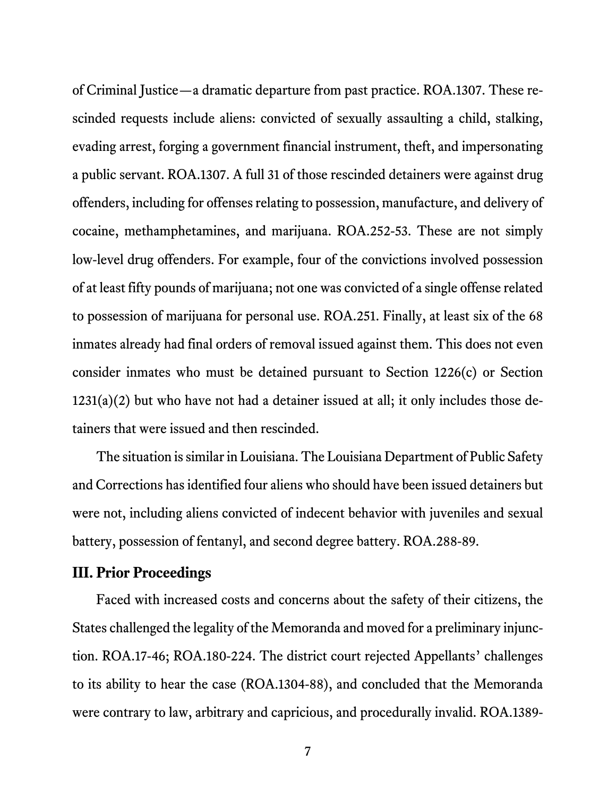of Criminal Justice—a dramatic departure from past practice. ROA.1307. These rescinded requests include aliens: convicted of sexually assaulting a child, stalking, evading arrest, forging a government financial instrument, theft, and impersonating a public servant. ROA.1307. A full 31 of those rescinded detainers were against drug offenders, including for offenses relating to possession, manufacture, and delivery of cocaine, methamphetamines, and marijuana. ROA.252-53. These are not simply low-level drug offenders. For example, four of the convictions involved possession of at least fifty pounds of marijuana; not one was convicted of a single offense related to possession of marijuana for personal use. ROA.251. Finally, at least six of the 68 inmates already had final orders of removal issued against them. This does not even consider inmates who must be detained pursuant to Section 1226(c) or Section 1231(a)(2) but who have not had a detainer issued at all; it only includes those detainers that were issued and then rescinded.

The situation is similar in Louisiana. The Louisiana Department of Public Safety and Corrections has identified four aliens who should have been issued detainers but were not, including aliens convicted of indecent behavior with juveniles and sexual battery, possession of fentanyl, and second degree battery. ROA.288-89.

#### **III. Prior Proceedings**

Faced with increased costs and concerns about the safety of their citizens, the States challenged the legality of the Memoranda and moved for a preliminary injunction. ROA.17-46; ROA.180-224. The district court rejected Appellants' challenges to its ability to hear the case (ROA.1304-88), and concluded that the Memoranda were contrary to law, arbitrary and capricious, and procedurally invalid. ROA.1389-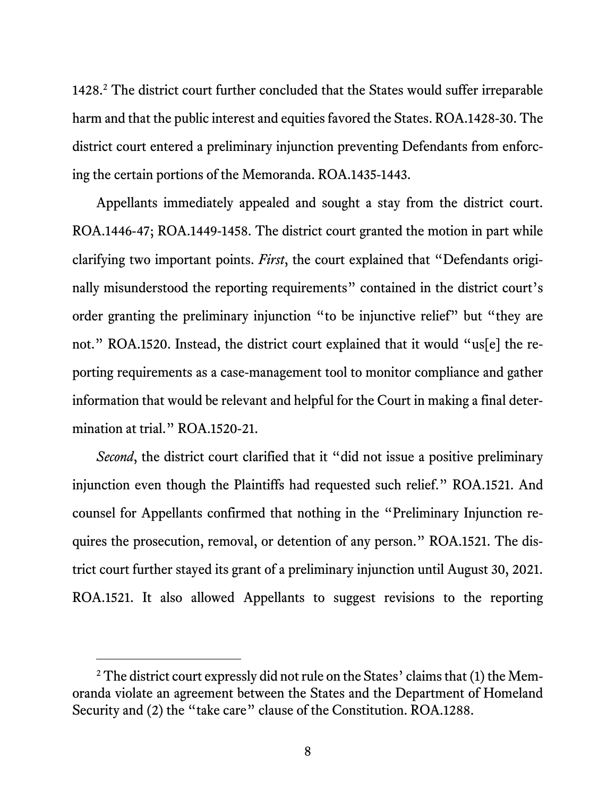1428.<sup>2</sup> The district court further concluded that the States would suffer irreparable harm and that the public interest and equities favored the States. ROA.1428-30. The district court entered a preliminary injunction preventing Defendants from enforcing the certain portions of the Memoranda. ROA.1435-1443.

Appellants immediately appealed and sought a stay from the district court. ROA.1446-47; ROA.1449-1458. The district court granted the motion in part while clarifying two important points. *First*, the court explained that "Defendants originally misunderstood the reporting requirements" contained in the district court's order granting the preliminary injunction "to be injunctive relief" but "they are not." ROA.1520. Instead, the district court explained that it would "us[e] the reporting requirements as a case-management tool to monitor compliance and gather information that would be relevant and helpful for the Court in making a final determination at trial." ROA.1520-21.

*Second*, the district court clarified that it "did not issue a positive preliminary injunction even though the Plaintiffs had requested such relief." ROA.1521. And counsel for Appellants confirmed that nothing in the "Preliminary Injunction requires the prosecution, removal, or detention of any person." ROA.1521. The district court further stayed its grant of a preliminary injunction until August 30, 2021. ROA.1521. It also allowed Appellants to suggest revisions to the reporting

 $2$  The district court expressly did not rule on the States' claims that (1) the Memoranda violate an agreement between the States and the Department of Homeland Security and (2) the "take care" clause of the Constitution. ROA.1288.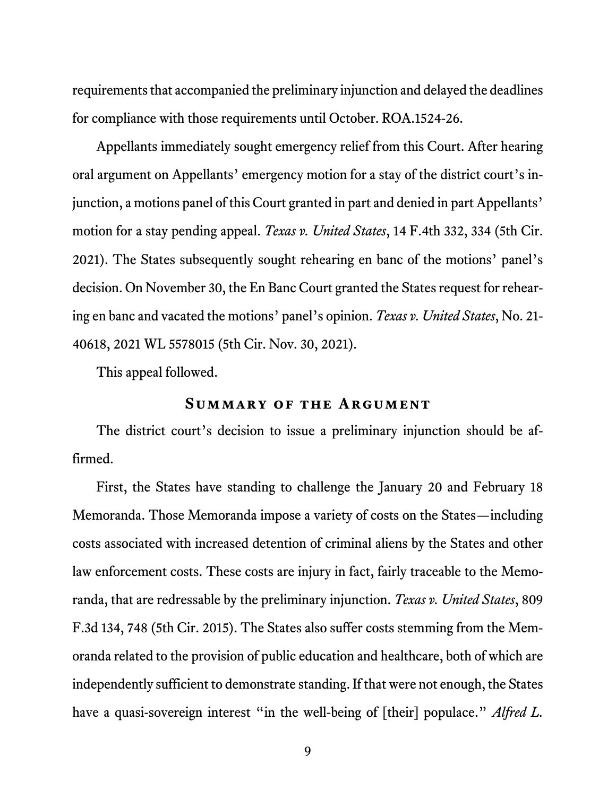requirements that accompanied the preliminary injunction and delayed the deadlines for compliance with those requirements until October. ROA.1524-26.

Appellants immediately sought emergency relief from this Court. After hearing oral argument on Appellants' emergency motion for a stay of the district court's injunction, a motions panel of this Court granted in part and denied in part Appellants' motion for a stay pending appeal. *Texas v. United States*, 14 F.4th 332, 334 (5th Cir. 2021). The States subsequently sought rehearing en banc of the motions' panel's decision. On November 30, the En Banc Court granted the States request for rehearing en banc and vacated the motions' panel's opinion. *Texas v. United States*, No. 21- 40618, 2021 WL 5578015 (5th Cir. Nov. 30, 2021).

This appeal followed.

#### **Summary of the Argument**

The district court's decision to issue a preliminary injunction should be affirmed.

First, the States have standing to challenge the January 20 and February 18 Memoranda. Those Memoranda impose a variety of costs on the States—including costs associated with increased detention of criminal aliens by the States and other law enforcement costs. These costs are injury in fact, fairly traceable to the Memoranda, that are redressable by the preliminary injunction. *Texas v. United States*, 809 F.3d 134, 748 (5th Cir. 2015). The States also suffer costs stemming from the Memoranda related to the provision of public education and healthcare, both of which are independently sufficient to demonstrate standing. If that were not enough, the States have a quasi-sovereign interest "in the well-being of [their] populace." Alfred L.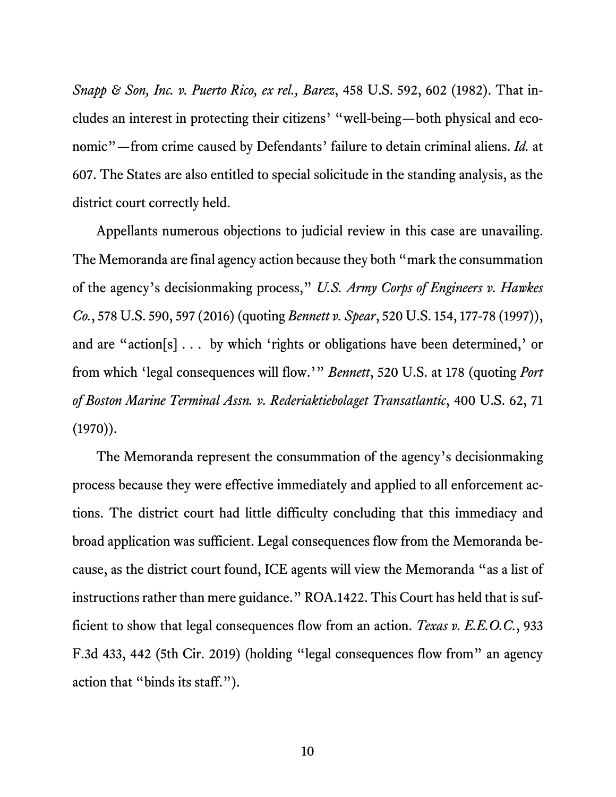*Snapp & Son, Inc. v. Puerto Rico, ex rel., Barez*, 458 U.S. 592, 602 (1982). That includes an interest in protecting their citizens' "well-being—both physical and economic"—from crime caused by Defendants' failure to detain criminal aliens. *Id.* at 607. The States are also entitled to special solicitude in the standing analysis, as the district court correctly held.

Appellants numerous objections to judicial review in this case are unavailing. The Memoranda are final agency action because they both "mark the consummation of the agency's decisionmaking process," *U.S. Army Corps of Engineers v. Hawkes Co.*, 578 U.S. 590, 597 (2016) (quoting *Bennett v. Spear*, 520 U.S. 154, 177-78 (1997)), and are "action[s] . . . by which 'rights or obligations have been determined,' or from which 'legal consequences will flow.'" *Bennett*, 520 U.S. at 178 (quoting *Port of Boston Marine Terminal Assn. v. Rederiaktiebolaget Transatlantic*, 400 U.S. 62, 71  $(1970)$ .

The Memoranda represent the consummation of the agency's decisionmaking process because they were effective immediately and applied to all enforcement actions. The district court had little difficulty concluding that this immediacy and broad application was sufficient. Legal consequences flow from the Memoranda because, as the district court found, ICE agents will view the Memoranda "as a list of instructions rather than mere guidance." ROA.1422. This Court has held that is sufficient to show that legal consequences flow from an action. *Texas v. E.E.O.C.*, 933 F.3d 433, 442 (5th Cir. 2019) (holding "legal consequences flow from" an agency action that "binds its staff.").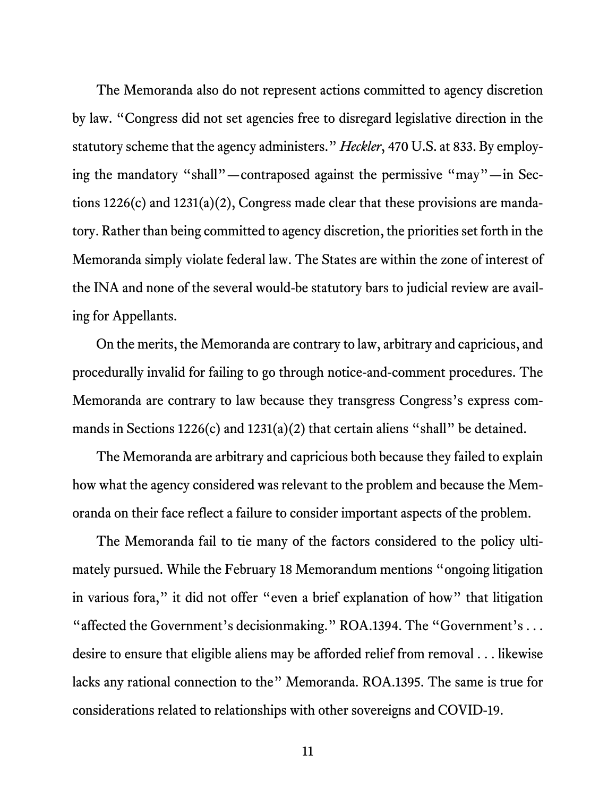The Memoranda also do not represent actions committed to agency discretion by law. "Congress did not set agencies free to disregard legislative direction in the statutory scheme that the agency administers." *Heckler*, 470 U.S. at 833. By employing the mandatory "shall"—contraposed against the permissive "may"—in Sections 1226(c) and 1231(a)(2), Congress made clear that these provisions are mandatory. Rather than being committed to agency discretion, the priorities set forth in the Memoranda simply violate federal law. The States are within the zone of interest of the INA and none of the several would-be statutory bars to judicial review are availing for Appellants.

On the merits, the Memoranda are contrary to law, arbitrary and capricious, and procedurally invalid for failing to go through notice-and-comment procedures. The Memoranda are contrary to law because they transgress Congress's express commands in Sections 1226(c) and 1231(a)(2) that certain aliens "shall" be detained.

The Memoranda are arbitrary and capricious both because they failed to explain how what the agency considered was relevant to the problem and because the Memoranda on their face reflect a failure to consider important aspects of the problem.

The Memoranda fail to tie many of the factors considered to the policy ultimately pursued. While the February 18 Memorandum mentions "ongoing litigation in various fora," it did not offer "even a brief explanation of how" that litigation "affected the Government's decisionmaking." ROA.1394. The "Government's ... desire to ensure that eligible aliens may be afforded relief from removal . . . likewise lacks any rational connection to the" Memoranda. ROA.1395. The same is true for considerations related to relationships with other sovereigns and COVID-19.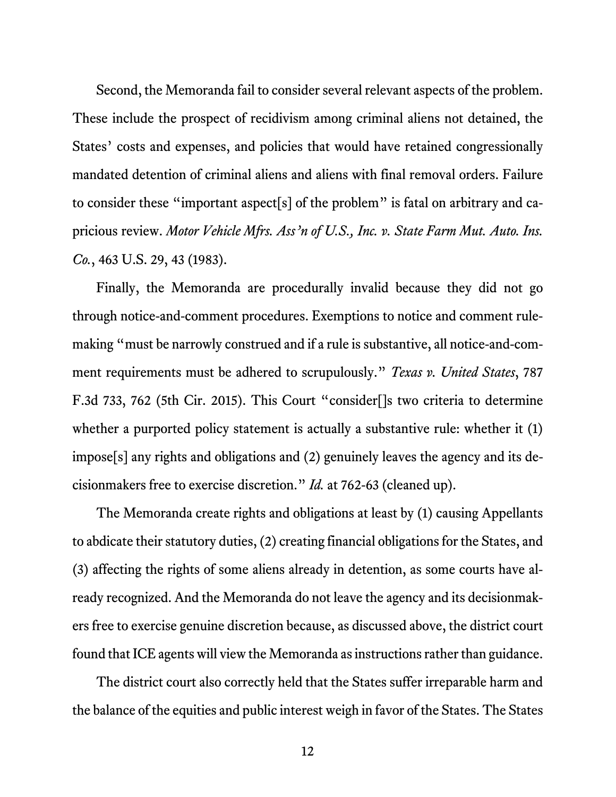Second, the Memoranda fail to consider several relevant aspects of the problem. These include the prospect of recidivism among criminal aliens not detained, the States' costs and expenses, and policies that would have retained congressionally mandated detention of criminal aliens and aliens with final removal orders. Failure to consider these "important aspect[s] of the problem" is fatal on arbitrary and capricious review. *Motor Vehicle Mfrs. Ass'n of U.S., Inc. v. State Farm Mut. Auto. Ins. Co.*, 463 U.S. 29, 43 (1983).

Finally, the Memoranda are procedurally invalid because they did not go through notice-and-comment procedures. Exemptions to notice and comment rulemaking "must be narrowly construed and if a rule is substantive, all notice-and-comment requirements must be adhered to scrupulously." *Texas v. United States*, 787 F.3d 733, 762 (5th Cir. 2015). This Court "consider[]s two criteria to determine whether a purported policy statement is actually a substantive rule: whether it (1) impose[s] any rights and obligations and (2) genuinely leaves the agency and its decisionmakers free to exercise discretion." *Id.* at 762-63 (cleaned up).

The Memoranda create rights and obligations at least by (1) causing Appellants to abdicate their statutory duties, (2) creating financial obligations for the States, and (3) affecting the rights of some aliens already in detention, as some courts have already recognized. And the Memoranda do not leave the agency and its decisionmakers free to exercise genuine discretion because, as discussed above, the district court found that ICE agents will view the Memoranda as instructions rather than guidance.

The district court also correctly held that the States suffer irreparable harm and the balance of the equities and public interest weigh in favor of the States. The States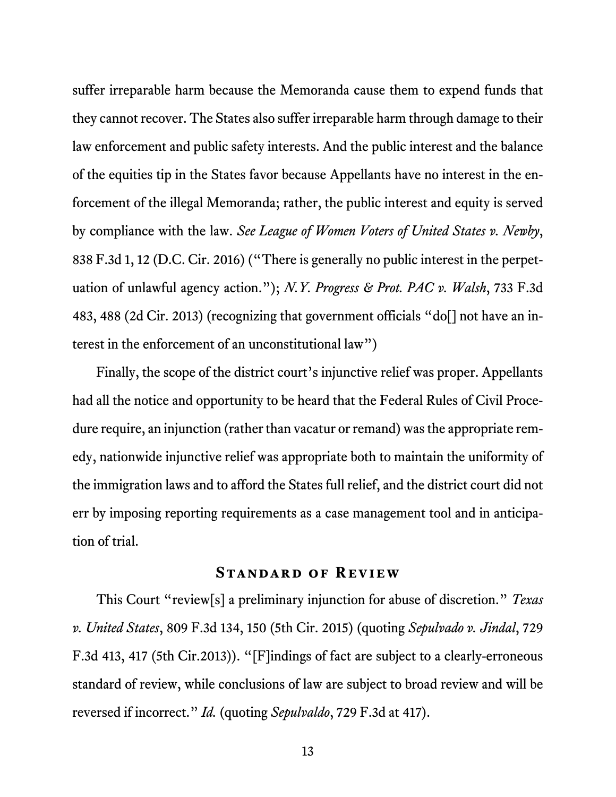suffer irreparable harm because the Memoranda cause them to expend funds that they cannot recover. The States also suffer irreparable harm through damage to their law enforcement and public safety interests. And the public interest and the balance of the equities tip in the States favor because Appellants have no interest in the enforcement of the illegal Memoranda; rather, the public interest and equity is served by compliance with the law. *See League of Women Voters of United States v. Newby*, 838 F.3d 1, 12 (D.C. Cir. 2016) ("There is generally no public interest in the perpetuation of unlawful agency action."); *N.Y. Progress & Prot. PAC v. Walsh*, 733 F.3d 483, 488 (2d Cir. 2013) (recognizing that government officials "do[] not have an interest in the enforcement of an unconstitutional law")

Finally, the scope of the district court's injunctive relief was proper. Appellants had all the notice and opportunity to be heard that the Federal Rules of Civil Procedure require, an injunction (rather than vacatur or remand) was the appropriate remedy, nationwide injunctive relief was appropriate both to maintain the uniformity of the immigration laws and to afford the States full relief, and the district court did not err by imposing reporting requirements as a case management tool and in anticipation of trial.

#### **Standard of Review**

This Court "review[s] a preliminary injunction for abuse of discretion." *Texas v. United States*, 809 F.3d 134, 150 (5th Cir. 2015) (quoting *Sepulvado v. Jindal*, 729 F.3d 413, 417 (5th Cir.2013)). "[F]indings of fact are subject to a clearly-erroneous standard of review, while conclusions of law are subject to broad review and will be reversed if incorrect." *Id.* (quoting *Sepulvaldo*, 729 F.3d at 417).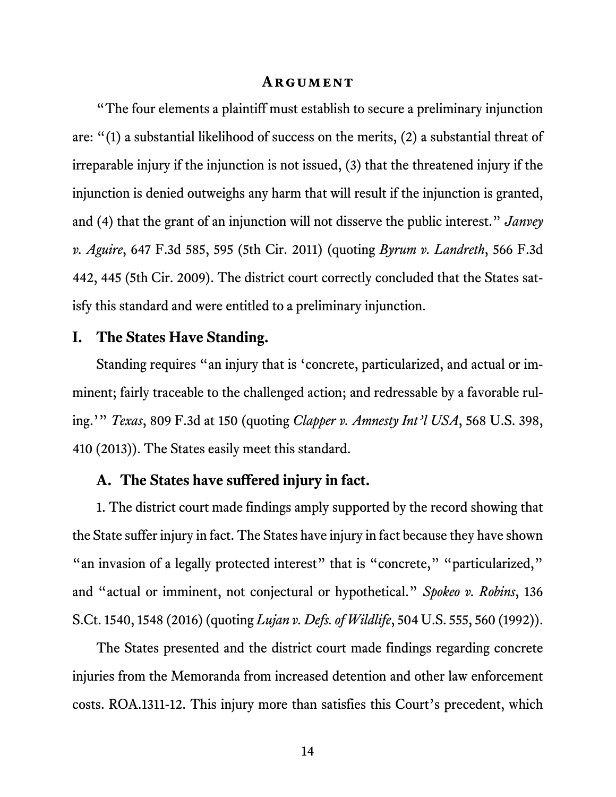#### **ARGUMENT**

"The four elements a plaintiff must establish to secure a preliminary injunction are: "(1) a substantial likelihood of success on the merits, (2) a substantial threat of irreparable injury if the injunction is not issued, (3) that the threatened injury if the injunction is denied outweighs any harm that will result if the injunction is granted, and (4) that the grant of an injunction will not disserve the public interest." *Janvey v. Aguire*, 647 F.3d 585, 595 (5th Cir. 2011) (quoting *Byrum v. Landreth*, 566 F.3d 442, 445 (5th Cir. 2009). The district court correctly concluded that the States satisfy this standard and were entitled to a preliminary injunction.

#### **I. The States Have Standing.**

Standing requires "an injury that is 'concrete, particularized, and actual or imminent; fairly traceable to the challenged action; and redressable by a favorable ruling.'" *Texas*, 809 F.3d at 150 (quoting *Clapper v. Amnesty Int'l USA*, 568 U.S. 398, 410 (2013)). The States easily meet this standard.

#### **A. The States have suffered injury in fact.**

1. The district court made findings amply supported by the record showing that the State suffer injury in fact. The States have injury in fact because they have shown "an invasion of a legally protected interest" that is "concrete," "particularized," and "actual or imminent, not conjectural or hypothetical." *Spokeo v. Robins*, 136 S.Ct. 1540, 1548 (2016) (quoting *Lujan v. Defs. of Wildlife*, 504 U.S. 555, 560 (1992)).

The States presented and the district court made findings regarding concrete injuries from the Memoranda from increased detention and other law enforcement costs. ROA.1311-12. This injury more than satisfies this Court's precedent, which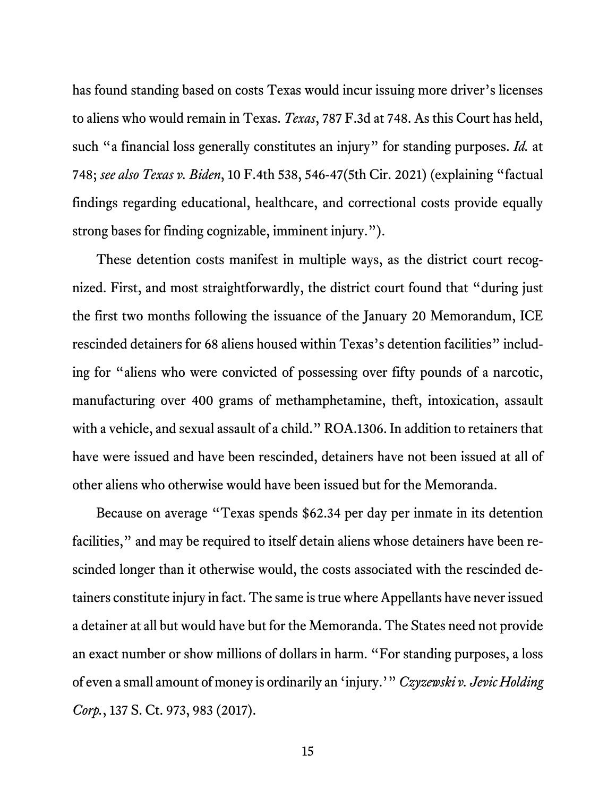has found standing based on costs Texas would incur issuing more driver's licenses to aliens who would remain in Texas. *Texas*, 787 F.3d at 748. As this Court has held, such "a financial loss generally constitutes an injury" for standing purposes. *Id.* at 748; *see also Texas v. Biden*, 10 F.4th 538, 546-47(5th Cir. 2021) (explaining "factual findings regarding educational, healthcare, and correctional costs provide equally strong bases for finding cognizable, imminent injury.").

These detention costs manifest in multiple ways, as the district court recognized. First, and most straightforwardly, the district court found that "during just the first two months following the issuance of the January 20 Memorandum, ICE rescinded detainers for 68 aliens housed within Texas's detention facilities" including for "aliens who were convicted of possessing over fifty pounds of a narcotic, manufacturing over 400 grams of methamphetamine, theft, intoxication, assault with a vehicle, and sexual assault of a child." ROA.1306. In addition to retainers that have were issued and have been rescinded, detainers have not been issued at all of other aliens who otherwise would have been issued but for the Memoranda.

Because on average "Texas spends \$62.34 per day per inmate in its detention facilities," and may be required to itself detain aliens whose detainers have been rescinded longer than it otherwise would, the costs associated with the rescinded detainers constitute injury in fact. The same is true where Appellants have never issued a detainer at all but would have but for the Memoranda. The States need not provide an exact number or show millions of dollars in harm. "For standing purposes, a loss of even a small amount of money is ordinarily an 'injury.'" *Czyzewski v. Jevic Holding Corp.*, 137 S. Ct. 973, 983 (2017).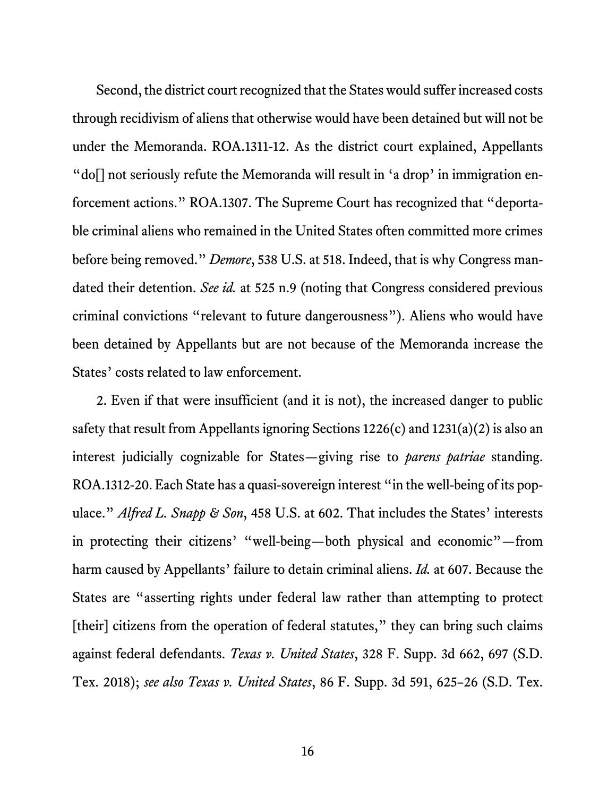Second, the district court recognized that the States would suffer increased costs through recidivism of aliens that otherwise would have been detained but will not be under the Memoranda. ROA.1311-12. As the district court explained, Appellants "do[] not seriously refute the Memoranda will result in 'a drop' in immigration enforcement actions." ROA.1307. The Supreme Court has recognized that "deportable criminal aliens who remained in the United States often committed more crimes before being removed." *Demore*, 538 U.S. at 518. Indeed, that is why Congress mandated their detention. *See id.* at 525 n.9 (noting that Congress considered previous criminal convictions "relevant to future dangerousness"). Aliens who would have been detained by Appellants but are not because of the Memoranda increase the States' costs related to law enforcement.

2. Even if that were insufficient (and it is not), the increased danger to public safety that result from Appellants ignoring Sections 1226(c) and 1231(a)(2) is also an interest judicially cognizable for States—giving rise to *parens patriae* standing. ROA.1312-20. Each State has a quasi-sovereign interest "in the well-being of its populace." *Alfred L. Snapp & Son*, 458 U.S. at 602. That includes the States' interests in protecting their citizens' "well-being—both physical and economic"—from harm caused by Appellants' failure to detain criminal aliens. *Id.* at 607. Because the States are "asserting rights under federal law rather than attempting to protect [their] citizens from the operation of federal statutes," they can bring such claims against federal defendants. *Texas v. United States*, 328 F. Supp. 3d 662, 697 (S.D. Tex. 2018); *see also Texas v. United States*, 86 F. Supp. 3d 591, 625–26 (S.D. Tex.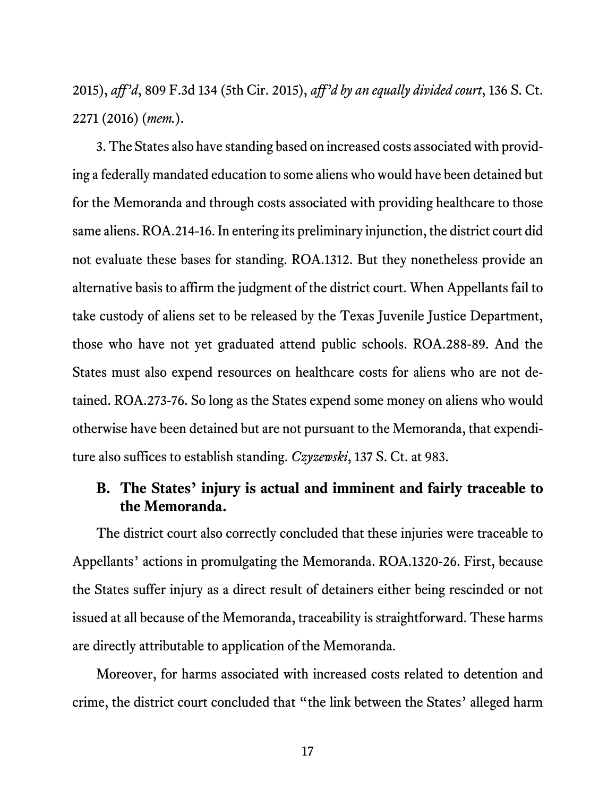2015), *aff'd*, 809 F.3d 134 (5th Cir. 2015), *aff'd by an equally divided court*, 136 S. Ct. 2271 (2016) (*mem.*).

3. The States also have standing based on increased costs associated with providing a federally mandated education to some aliens who would have been detained but for the Memoranda and through costs associated with providing healthcare to those same aliens. ROA.214-16. In entering its preliminary injunction, the district court did not evaluate these bases for standing. ROA.1312. But they nonetheless provide an alternative basis to affirm the judgment of the district court. When Appellants fail to take custody of aliens set to be released by the Texas Juvenile Justice Department, those who have not yet graduated attend public schools. ROA.288-89. And the States must also expend resources on healthcare costs for aliens who are not detained. ROA.273-76. So long as the States expend some money on aliens who would otherwise have been detained but are not pursuant to the Memoranda, that expenditure also suffices to establish standing. *Czyzewski*, 137 S. Ct. at 983.

## **B. The States' injury is actual and imminent and fairly traceable to the Memoranda.**

The district court also correctly concluded that these injuries were traceable to Appellants' actions in promulgating the Memoranda. ROA.1320-26. First, because the States suffer injury as a direct result of detainers either being rescinded or not issued at all because of the Memoranda, traceability is straightforward. These harms are directly attributable to application of the Memoranda.

Moreover, for harms associated with increased costs related to detention and crime, the district court concluded that "the link between the States' alleged harm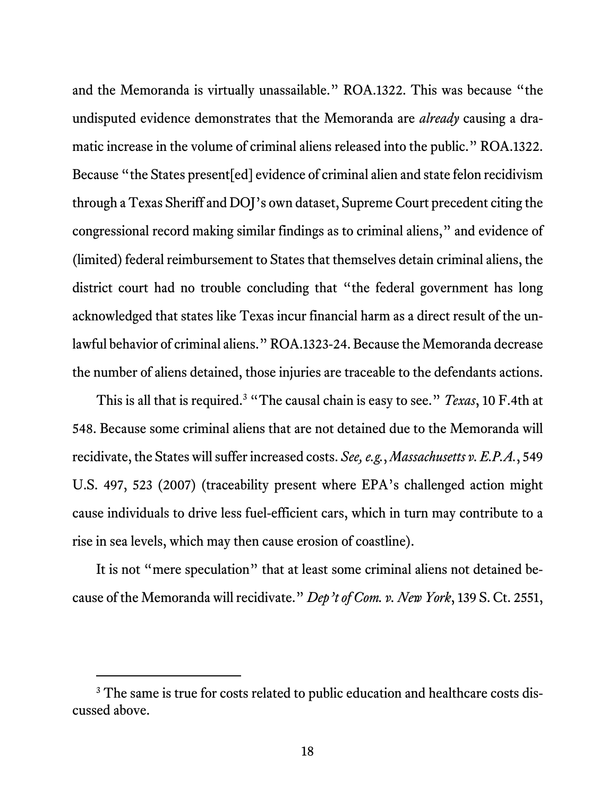and the Memoranda is virtually unassailable." ROA.1322. This was because "the undisputed evidence demonstrates that the Memoranda are *already* causing a dramatic increase in the volume of criminal aliens released into the public." ROA.1322. Because "the States present[ed] evidence of criminal alien and state felon recidivism through a Texas Sheriff and DOJ's own dataset, Supreme Court precedent citing the congressional record making similar findings as to criminal aliens," and evidence of (limited) federal reimbursement to States that themselves detain criminal aliens, the district court had no trouble concluding that "the federal government has long acknowledged that states like Texas incur financial harm as a direct result of the unlawful behavior of criminal aliens." ROA.1323-24. Because the Memoranda decrease the number of aliens detained, those injuries are traceable to the defendants actions.

This is all that is required.<sup>3</sup> "The causal chain is easy to see." *Texas*, 10 F.4th at 548. Because some criminal aliens that are not detained due to the Memoranda will recidivate, the States will suffer increased costs. *See, e.g.*, *Massachusetts v. E.P.A.*, 549 U.S. 497, 523 (2007) (traceability present where EPA's challenged action might cause individuals to drive less fuel-efficient cars, which in turn may contribute to a rise in sea levels, which may then cause erosion of coastline).

It is not "mere speculation" that at least some criminal aliens not detained because of the Memoranda will recidivate." *Dep't of Com. v. New York*, 139 S. Ct. 2551,

<sup>&</sup>lt;sup>3</sup> The same is true for costs related to public education and healthcare costs discussed above.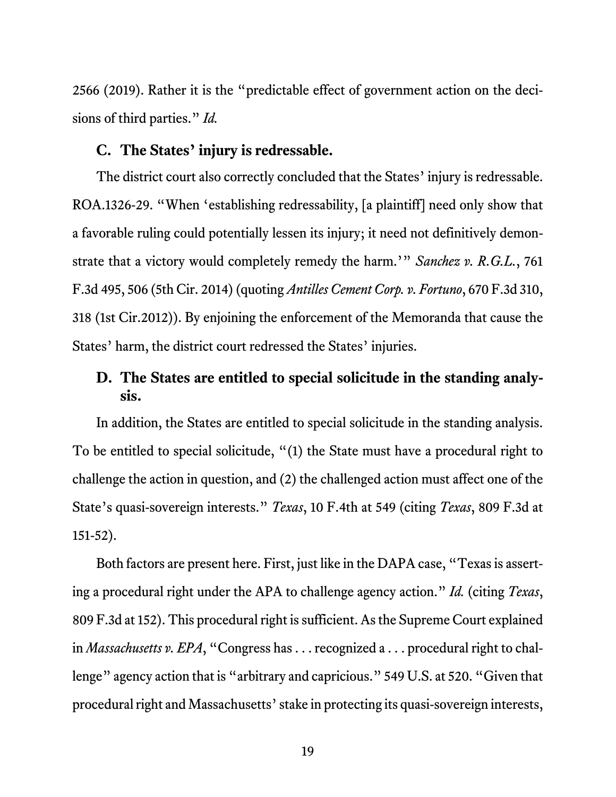2566 (2019). Rather it is the "predictable effect of government action on the decisions of third parties." *Id.*

#### **C. The States' injury is redressable.**

The district court also correctly concluded that the States' injury is redressable. ROA.1326-29. "When 'establishing redressability, [a plaintiff] need only show that a favorable ruling could potentially lessen its injury; it need not definitively demonstrate that a victory would completely remedy the harm.'" *Sanchez v. R.G.L.*, 761 F.3d 495, 506 (5th Cir. 2014) (quoting *Antilles Cement Corp. v. Fortuno*, 670 F.3d 310, 318 (1st Cir.2012)). By enjoining the enforcement of the Memoranda that cause the States' harm, the district court redressed the States' injuries.

## **D. The States are entitled to special solicitude in the standing analysis.**

In addition, the States are entitled to special solicitude in the standing analysis. To be entitled to special solicitude, "(1) the State must have a procedural right to challenge the action in question, and (2) the challenged action must affect one of the State's quasi-sovereign interests." *Texas*, 10 F.4th at 549 (citing *Texas*, 809 F.3d at 151-52).

Both factors are present here. First, just like in the DAPA case, "Texas is asserting a procedural right under the APA to challenge agency action." *Id.* (citing *Texas*, 809 F.3d at 152). This procedural right is sufficient. As the Supreme Court explained in *Massachusetts v. EPA*, "Congress has . . . recognized a . . . procedural right to challenge" agency action that is "arbitrary and capricious." 549 U.S. at 520. "Given that procedural right and Massachusetts' stake in protecting its quasi-sovereign interests,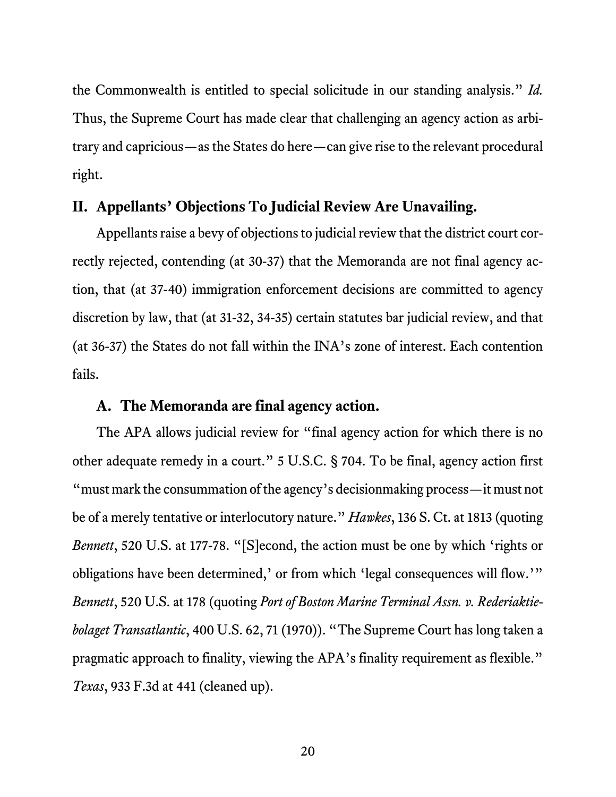the Commonwealth is entitled to special solicitude in our standing analysis." *Id.* Thus, the Supreme Court has made clear that challenging an agency action as arbitrary and capricious—as the States do here—can give rise to the relevant procedural right.

#### **II. Appellants' Objections To Judicial Review Are Unavailing.**

Appellants raise a bevy of objections to judicial review that the district court correctly rejected, contending (at 30-37) that the Memoranda are not final agency action, that (at 37-40) immigration enforcement decisions are committed to agency discretion by law, that (at 31-32, 34-35) certain statutes bar judicial review, and that (at 36-37) the States do not fall within the INA's zone of interest. Each contention fails.

#### **A. The Memoranda are final agency action.**

The APA allows judicial review for "final agency action for which there is no other adequate remedy in a court." 5 U.S.C. § 704. To be final, agency action first "must mark the consummation of the agency's decisionmaking process—it must not be of a merely tentative or interlocutory nature." *Hawkes*, 136 S. Ct. at 1813 (quoting *Bennett*, 520 U.S. at 177-78. "[S]econd, the action must be one by which 'rights or obligations have been determined,' or from which 'legal consequences will flow.'" *Bennett*, 520 U.S. at 178 (quoting *Port of Boston Marine Terminal Assn. v. Rederiaktiebolaget Transatlantic*, 400 U.S. 62, 71 (1970)). "The Supreme Court has long taken a pragmatic approach to finality, viewing the APA's finality requirement as flexible." *Texas*, 933 F.3d at 441 (cleaned up).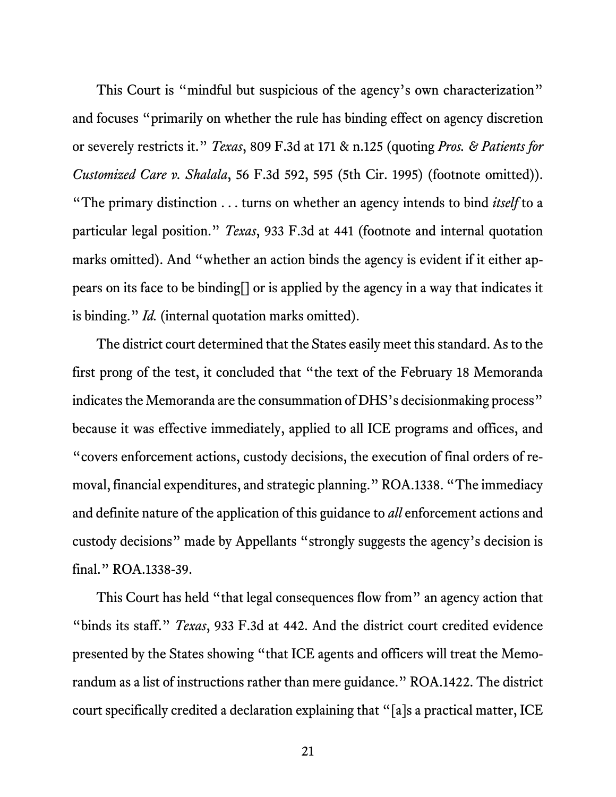This Court is "mindful but suspicious of the agency's own characterization" and focuses "primarily on whether the rule has binding effect on agency discretion or severely restricts it." *Texas*, 809 F.3d at 171 & n.125 (quoting *Pros. & Patients for Customized Care v. Shalala*, 56 F.3d 592, 595 (5th Cir. 1995) (footnote omitted)). "The primary distinction . . . turns on whether an agency intends to bind *itself* to a particular legal position." *Texas*, 933 F.3d at 441 (footnote and internal quotation marks omitted). And "whether an action binds the agency is evident if it either appears on its face to be binding[] or is applied by the agency in a way that indicates it is binding." *Id.* (internal quotation marks omitted).

The district court determined that the States easily meet this standard. As to the first prong of the test, it concluded that "the text of the February 18 Memoranda indicates the Memoranda are the consummation of DHS's decisionmaking process" because it was effective immediately, applied to all ICE programs and offices, and "covers enforcement actions, custody decisions, the execution of final orders of removal, financial expenditures, and strategic planning." ROA.1338. "The immediacy and definite nature of the application of this guidance to *all* enforcement actions and custody decisions" made by Appellants "strongly suggests the agency's decision is final." ROA.1338-39.

This Court has held "that legal consequences flow from" an agency action that "binds its staff." *Texas*, 933 F.3d at 442. And the district court credited evidence presented by the States showing "that ICE agents and officers will treat the Memorandum as a list of instructions rather than mere guidance." ROA.1422. The district court specifically credited a declaration explaining that "[a]s a practical matter, ICE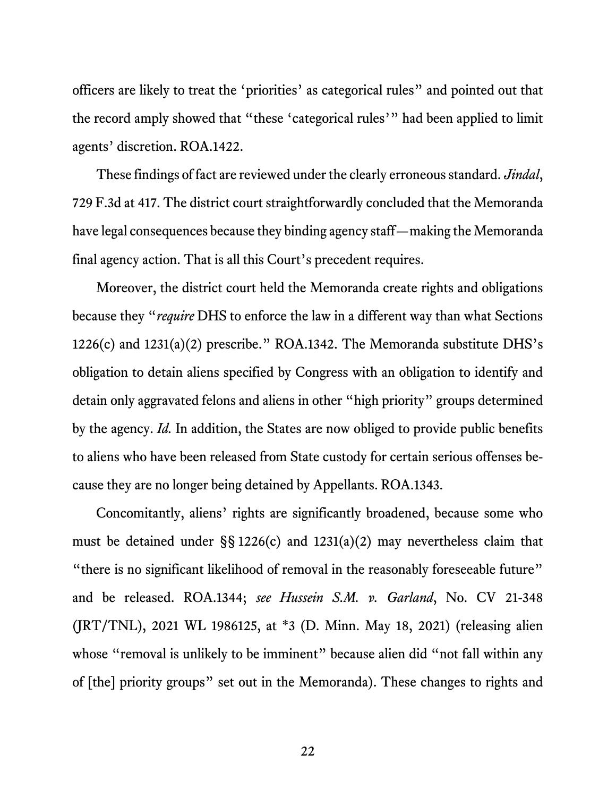officers are likely to treat the 'priorities' as categorical rules" and pointed out that the record amply showed that "these 'categorical rules'" had been applied to limit agents' discretion. ROA.1422.

These findings of fact are reviewed under the clearly erroneous standard. *Jindal*, 729 F.3d at 417. The district court straightforwardly concluded that the Memoranda have legal consequences because they binding agency staff—making the Memoranda final agency action. That is all this Court's precedent requires.

Moreover, the district court held the Memoranda create rights and obligations because they "*require* DHS to enforce the law in a different way than what Sections 1226(c) and 1231(a)(2) prescribe." ROA.1342. The Memoranda substitute DHS's obligation to detain aliens specified by Congress with an obligation to identify and detain only aggravated felons and aliens in other "high priority" groups determined by the agency. *Id.* In addition, the States are now obliged to provide public benefits to aliens who have been released from State custody for certain serious offenses because they are no longer being detained by Appellants. ROA.1343.

Concomitantly, aliens' rights are significantly broadened, because some who must be detained under §§ 1226(c) and 1231(a)(2) may nevertheless claim that "there is no significant likelihood of removal in the reasonably foreseeable future" and be released. ROA.1344; *see Hussein S.M. v. Garland*, No. CV 21-348 (JRT/TNL), 2021 WL 1986125, at \*3 (D. Minn. May 18, 2021) (releasing alien whose "removal is unlikely to be imminent" because alien did "not fall within any of [the] priority groups" set out in the Memoranda). These changes to rights and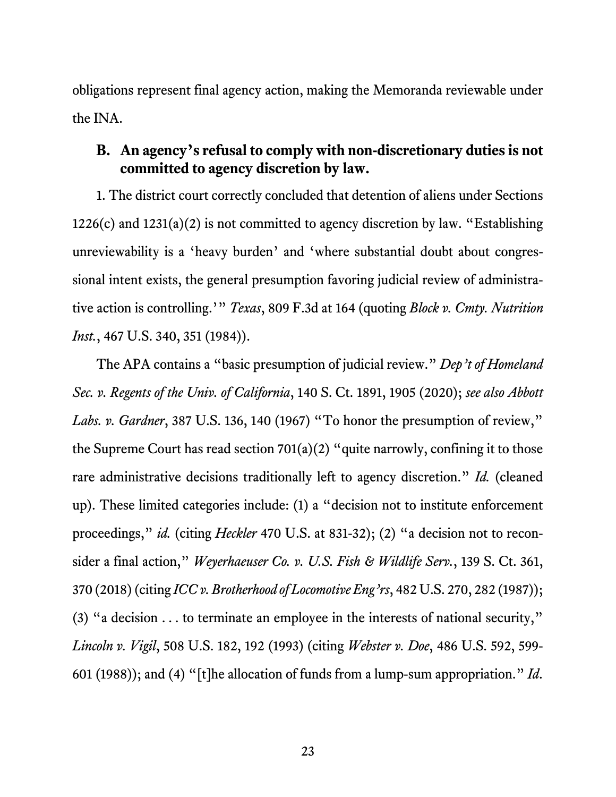obligations represent final agency action, making the Memoranda reviewable under the INA.

## **B. An agency's refusal to comply with non-discretionary duties is not committed to agency discretion by law.**

1. The district court correctly concluded that detention of aliens under Sections  $1226(c)$  and  $1231(a)(2)$  is not committed to agency discretion by law. "Establishing unreviewability is a 'heavy burden' and 'where substantial doubt about congressional intent exists, the general presumption favoring judicial review of administrative action is controlling.'" *Texas*, 809 F.3d at 164 (quoting *Block v. Cmty. Nutrition Inst.*, 467 U.S. 340, 351 (1984)).

The APA contains a "basic presumption of judicial review." *Dep't of Homeland Sec. v. Regents of the Univ. of California*, 140 S. Ct. 1891, 1905 (2020); *see also Abbott Labs. v. Gardner*, 387 U.S. 136, 140 (1967) "To honor the presumption of review," the Supreme Court has read section  $701(a)(2)$  "quite narrowly, confining it to those rare administrative decisions traditionally left to agency discretion." *Id.* (cleaned up). These limited categories include: (1) a "decision not to institute enforcement proceedings," *id.* (citing *Heckler* 470 U.S. at 831-32); (2) "a decision not to reconsider a final action," *Weyerhaeuser Co. v. U.S. Fish & Wildlife Serv.*, 139 S. Ct. 361, 370 (2018) (citing *ICC v. Brotherhood of Locomotive Eng'rs*, 482 U.S. 270, 282 (1987)); (3) "a decision . . . to terminate an employee in the interests of national security," *Lincoln v. Vigil*, 508 U.S. 182, 192 (1993) (citing *Webster v. Doe*, 486 U.S. 592, 599- 601 (1988)); and (4) "[t]he allocation of funds from a lump-sum appropriation." *Id*.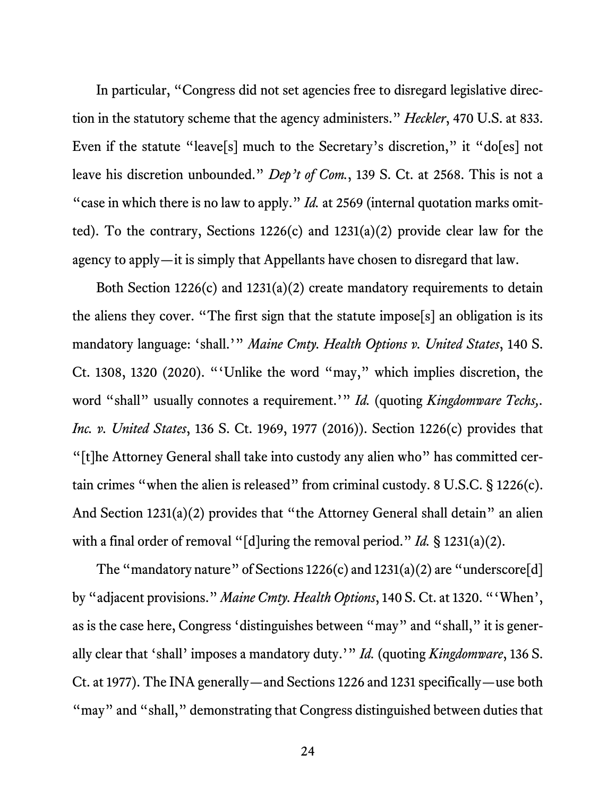In particular, "Congress did not set agencies free to disregard legislative direction in the statutory scheme that the agency administers." *Heckler*, 470 U.S. at 833. Even if the statute "leave[s] much to the Secretary's discretion," it "do[es] not leave his discretion unbounded." *Dep't of Com.*, 139 S. Ct. at 2568. This is not a "case in which there is no law to apply." *Id.* at 2569 (internal quotation marks omitted). To the contrary, Sections 1226(c) and 1231(a)(2) provide clear law for the agency to apply—it is simply that Appellants have chosen to disregard that law.

Both Section 1226(c) and 1231(a)(2) create mandatory requirements to detain the aliens they cover. "The first sign that the statute impose[s] an obligation is its mandatory language: 'shall.'" *Maine Cmty. Health Options v. United States*, 140 S. Ct. 1308, 1320 (2020). "'Unlike the word "may," which implies discretion, the word "shall" usually connotes a requirement.'" *Id.* (quoting *Kingdomware Techs*,. *Inc. v. United States*, 136 S. Ct. 1969, 1977 (2016)). Section 1226(c) provides that "[t]he Attorney General shall take into custody any alien who" has committed certain crimes "when the alien is released" from criminal custody. 8 U.S.C. § 1226(c). And Section 1231(a)(2) provides that "the Attorney General shall detain" an alien with a final order of removal "[d]uring the removal period." *Id.* § 1231(a)(2).

The "mandatory nature" of Sections  $1226(c)$  and  $1231(a)(2)$  are "underscore[d] by "adjacent provisions." *Maine Cmty. Health Options*, 140 S. Ct. at 1320. "'When', as is the case here, Congress 'distinguishes between "may" and "shall," it is generally clear that 'shall' imposes a mandatory duty.'" *Id.* (quoting *Kingdomware*, 136 S. Ct. at 1977). The INA generally—and Sections 1226 and 1231 specifically—use both "may" and "shall," demonstrating that Congress distinguished between duties that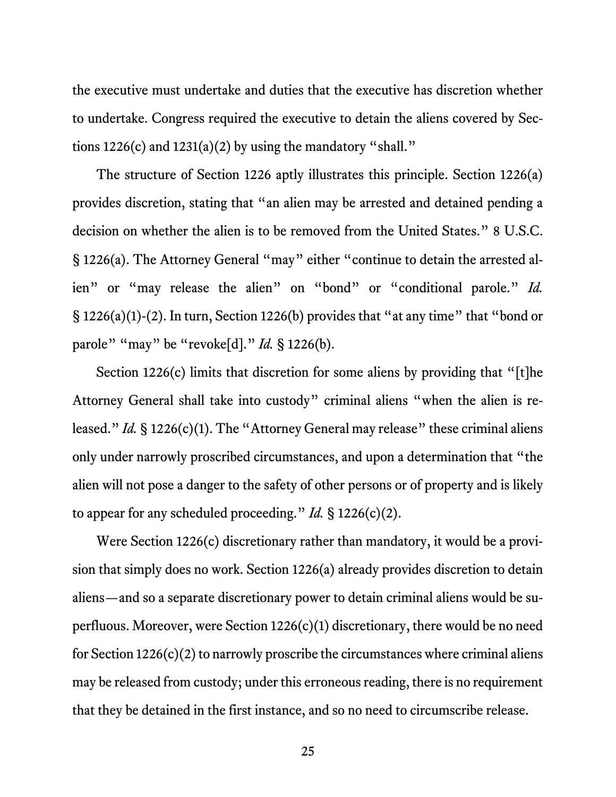the executive must undertake and duties that the executive has discretion whether to undertake. Congress required the executive to detain the aliens covered by Sections  $1226(c)$  and  $1231(a)(2)$  by using the mandatory "shall."

The structure of Section 1226 aptly illustrates this principle. Section 1226(a) provides discretion, stating that "an alien may be arrested and detained pending a decision on whether the alien is to be removed from the United States." 8 U.S.C. § 1226(a). The Attorney General "may" either "continue to detain the arrested alien" or "may release the alien" on "bond" or "conditional parole." *Id.*  § 1226(a)(1)-(2). In turn, Section 1226(b) provides that "at any time" that "bond or parole" "may" be "revoke[d]." *Id.* § 1226(b).

Section 1226(c) limits that discretion for some aliens by providing that "[t]he Attorney General shall take into custody" criminal aliens "when the alien is released." *Id.* § 1226(c)(1). The "Attorney General may release" these criminal aliens only under narrowly proscribed circumstances, and upon a determination that "the alien will not pose a danger to the safety of other persons or of property and is likely to appear for any scheduled proceeding." *Id.* § 1226(c)(2).

Were Section 1226(c) discretionary rather than mandatory, it would be a provision that simply does no work. Section 1226(a) already provides discretion to detain aliens—and so a separate discretionary power to detain criminal aliens would be superfluous. Moreover, were Section 1226(c)(1) discretionary, there would be no need for Section  $1226(c)(2)$  to narrowly proscribe the circumstances where criminal aliens may be released from custody; under this erroneous reading, there is no requirement that they be detained in the first instance, and so no need to circumscribe release.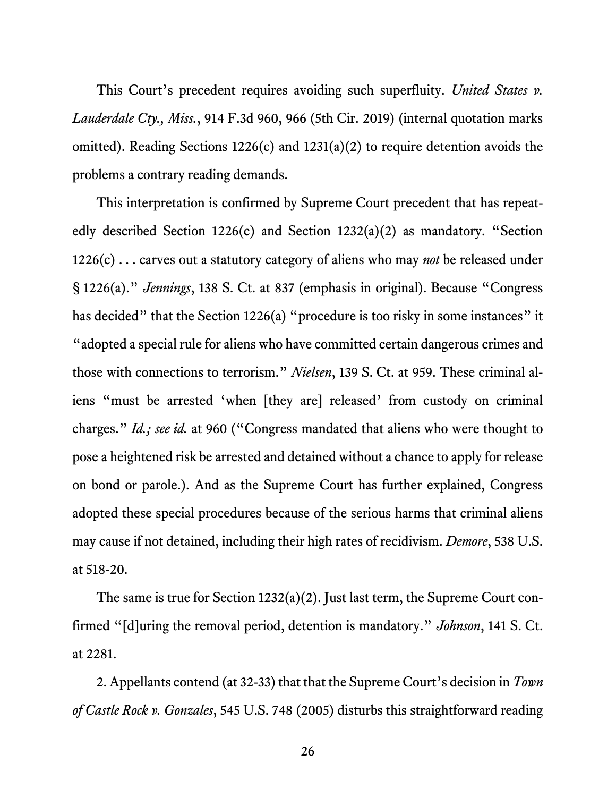This Court's precedent requires avoiding such superfluity. *United States v. Lauderdale Cty., Miss.*, 914 F.3d 960, 966 (5th Cir. 2019) (internal quotation marks omitted). Reading Sections 1226(c) and 1231(a)(2) to require detention avoids the problems a contrary reading demands.

This interpretation is confirmed by Supreme Court precedent that has repeatedly described Section 1226(c) and Section 1232(a)(2) as mandatory. "Section 1226(c) . . . carves out a statutory category of aliens who may *not* be released under § 1226(a)." *Jennings*, 138 S. Ct. at 837 (emphasis in original). Because "Congress has decided" that the Section 1226(a) "procedure is too risky in some instances" it "adopted a special rule for aliens who have committed certain dangerous crimes and those with connections to terrorism." *Nielsen*, 139 S. Ct. at 959. These criminal aliens "must be arrested 'when [they are] released' from custody on criminal charges." *Id.; see id.* at 960 ("Congress mandated that aliens who were thought to pose a heightened risk be arrested and detained without a chance to apply for release on bond or parole.). And as the Supreme Court has further explained, Congress adopted these special procedures because of the serious harms that criminal aliens may cause if not detained, including their high rates of recidivism. *Demore*, 538 U.S. at 518-20.

The same is true for Section 1232(a)(2). Just last term, the Supreme Court confirmed "[d]uring the removal period, detention is mandatory." *Johnson*, 141 S. Ct. at 2281.

2. Appellants contend (at 32-33) that that the Supreme Court's decision in *Town of Castle Rock v. Gonzales*, 545 U.S. 748 (2005) disturbs this straightforward reading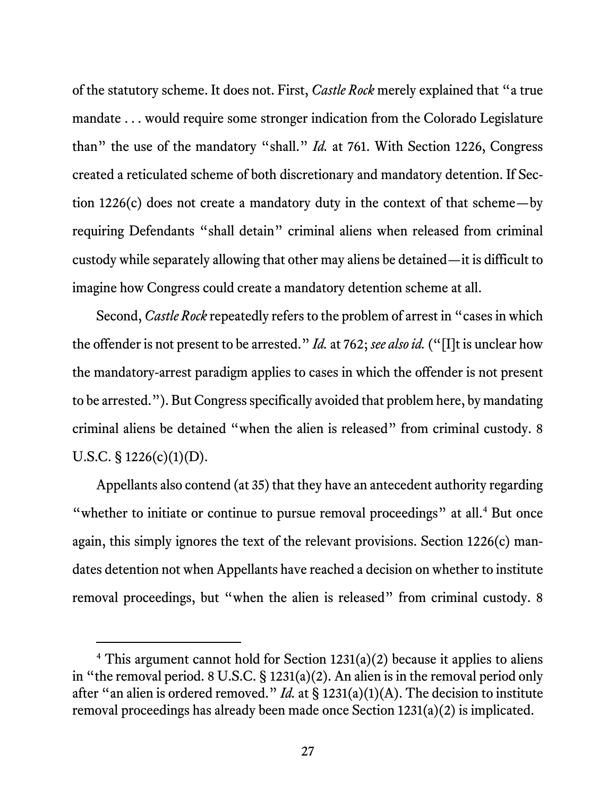of the statutory scheme. It does not. First, *Castle Rock* merely explained that "a true mandate . . . would require some stronger indication from the Colorado Legislature than" the use of the mandatory "shall." *Id.* at 761. With Section 1226, Congress created a reticulated scheme of both discretionary and mandatory detention. If Section 1226(c) does not create a mandatory duty in the context of that scheme—by requiring Defendants "shall detain" criminal aliens when released from criminal custody while separately allowing that other may aliens be detained—it is difficult to imagine how Congress could create a mandatory detention scheme at all.

Second, *Castle Rock* repeatedly refers to the problem of arrest in "cases in which the offender is not present to be arrested." *Id.* at 762; *see also id.* ("[I]t is unclear how the mandatory-arrest paradigm applies to cases in which the offender is not present to be arrested."). But Congress specifically avoided that problem here, by mandating criminal aliens be detained "when the alien is released" from criminal custody. 8 U.S.C. § 1226(c)(1)(D).

Appellants also contend (at 35) that they have an antecedent authority regarding "whether to initiate or continue to pursue removal proceedings" at all.<sup>4</sup> But once again, this simply ignores the text of the relevant provisions. Section 1226(c) mandates detention not when Appellants have reached a decision on whether to institute removal proceedings, but "when the alien is released" from criminal custody. 8

<sup>&</sup>lt;sup>4</sup> This argument cannot hold for Section  $1231(a)(2)$  because it applies to aliens in "the removal period. 8 U.S.C. § 1231(a)(2). An alien is in the removal period only after "an alien is ordered removed." *Id.* at § 1231(a)(1)(A). The decision to institute removal proceedings has already been made once Section 1231(a)(2) is implicated.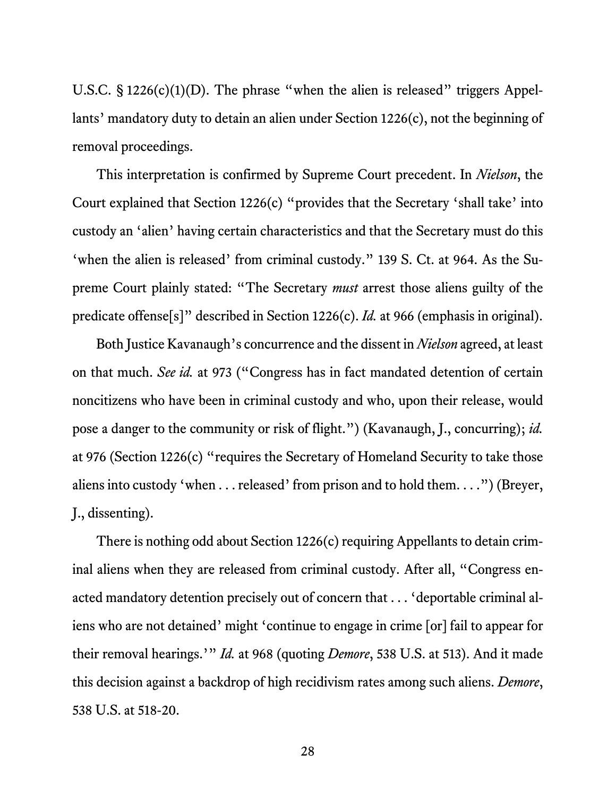U.S.C.  $\S 1226(c)(1)(D)$ . The phrase "when the alien is released" triggers Appellants' mandatory duty to detain an alien under Section 1226(c), not the beginning of removal proceedings.

This interpretation is confirmed by Supreme Court precedent. In *Nielson*, the Court explained that Section 1226(c) "provides that the Secretary 'shall take' into custody an 'alien' having certain characteristics and that the Secretary must do this 'when the alien is released' from criminal custody." 139 S. Ct. at 964. As the Supreme Court plainly stated: "The Secretary *must* arrest those aliens guilty of the predicate offense[s]" described in Section 1226(c). *Id.* at 966 (emphasis in original).

Both Justice Kavanaugh's concurrence and the dissent in *Nielson* agreed, at least on that much. *See id.* at 973 ("Congress has in fact mandated detention of certain noncitizens who have been in criminal custody and who, upon their release, would pose a danger to the community or risk of flight.") (Kavanaugh, J., concurring); *id.* at 976 (Section 1226(c) "requires the Secretary of Homeland Security to take those aliens into custody 'when . . . released' from prison and to hold them. . . .") (Breyer, J., dissenting).

There is nothing odd about Section 1226(c) requiring Appellants to detain criminal aliens when they are released from criminal custody. After all, "Congress enacted mandatory detention precisely out of concern that . . . 'deportable criminal aliens who are not detained' might 'continue to engage in crime [or] fail to appear for their removal hearings.'" *Id.* at 968 (quoting *Demore*, 538 U.S. at 513). And it made this decision against a backdrop of high recidivism rates among such aliens. *Demore*, 538 U.S. at 518-20.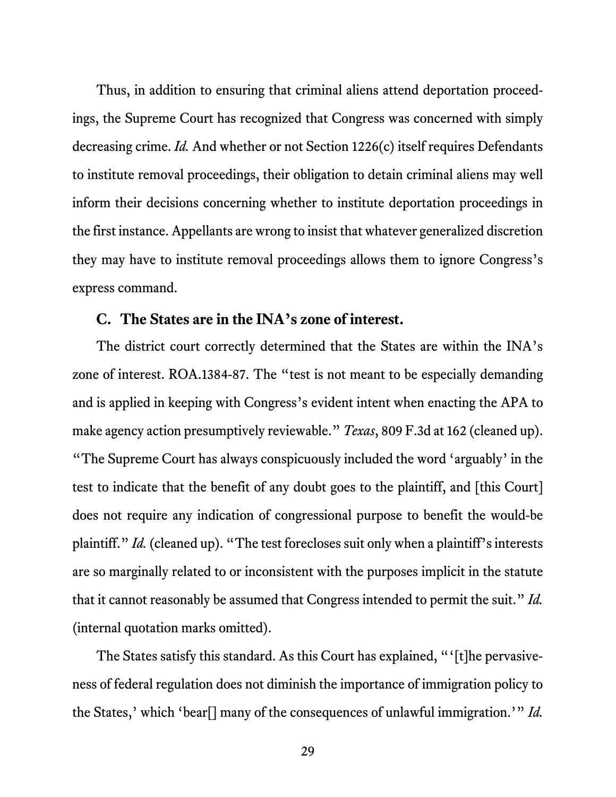Thus, in addition to ensuring that criminal aliens attend deportation proceedings, the Supreme Court has recognized that Congress was concerned with simply decreasing crime. *Id.* And whether or not Section 1226(c) itself requires Defendants to institute removal proceedings, their obligation to detain criminal aliens may well inform their decisions concerning whether to institute deportation proceedings in the first instance. Appellants are wrong to insist that whatever generalized discretion they may have to institute removal proceedings allows them to ignore Congress's express command.

#### **C. The States are in the INA's zone of interest.**

The district court correctly determined that the States are within the INA's zone of interest. ROA.1384-87. The "test is not meant to be especially demanding and is applied in keeping with Congress's evident intent when enacting the APA to make agency action presumptively reviewable." *Texas*, 809 F.3d at 162 (cleaned up). "The Supreme Court has always conspicuously included the word 'arguably' in the test to indicate that the benefit of any doubt goes to the plaintiff, and [this Court] does not require any indication of congressional purpose to benefit the would-be plaintiff." *Id.* (cleaned up). "The test forecloses suit only when a plaintiff's interests are so marginally related to or inconsistent with the purposes implicit in the statute that it cannot reasonably be assumed that Congress intended to permit the suit." *Id.* (internal quotation marks omitted).

The States satisfy this standard. As this Court has explained, "'[t]he pervasiveness of federal regulation does not diminish the importance of immigration policy to the States,' which 'bear[] many of the consequences of unlawful immigration.'" *Id.*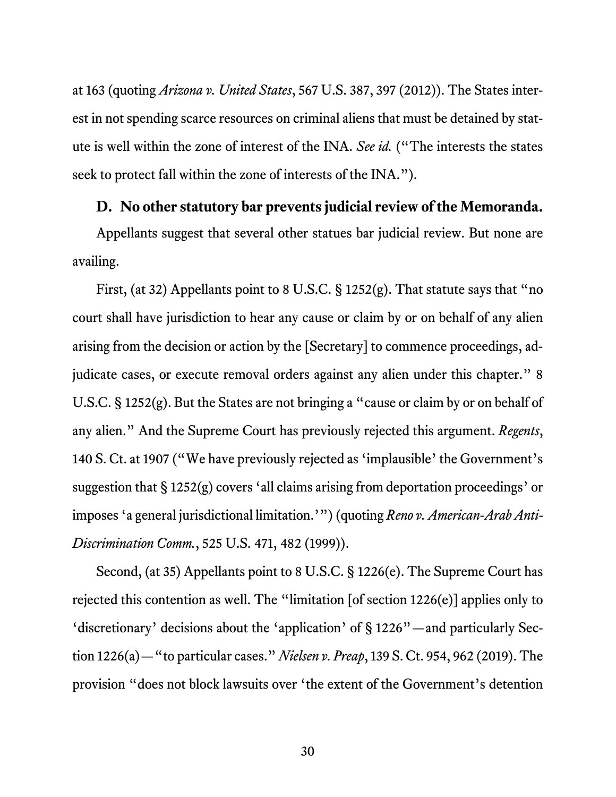at 163 (quoting *Arizona v. United States*, 567 U.S. 387, 397 (2012)). The States interest in not spending scarce resources on criminal aliens that must be detained by statute is well within the zone of interest of the INA. *See id.* ("The interests the states seek to protect fall within the zone of interests of the INA.").

#### **D. No other statutory bar prevents judicial review of the Memoranda.**

Appellants suggest that several other statues bar judicial review. But none are availing.

First, (at 32) Appellants point to 8 U.S.C. § 1252(g). That statute says that "no court shall have jurisdiction to hear any cause or claim by or on behalf of any alien arising from the decision or action by the [Secretary] to commence proceedings, adjudicate cases, or execute removal orders against any alien under this chapter." 8 U.S.C. § 1252(g). But the States are not bringing a "cause or claim by or on behalf of any alien." And the Supreme Court has previously rejected this argument. *Regents*, 140 S. Ct. at 1907 ("We have previously rejected as 'implausible' the Government's suggestion that § 1252(g) covers 'all claims arising from deportation proceedings' or imposes 'a general jurisdictional limitation.'") (quoting *Reno v. American-Arab Anti-Discrimination Comm.*, 525 U.S. 471, 482 (1999)).

Second, (at 35) Appellants point to 8 U.S.C. § 1226(e). The Supreme Court has rejected this contention as well. The "limitation [of section 1226(e)] applies only to 'discretionary' decisions about the 'application' of § 1226"—and particularly Section 1226(a)—"to particular cases." *Nielsen v. Preap*, 139 S. Ct. 954, 962 (2019). The provision "does not block lawsuits over 'the extent of the Government's detention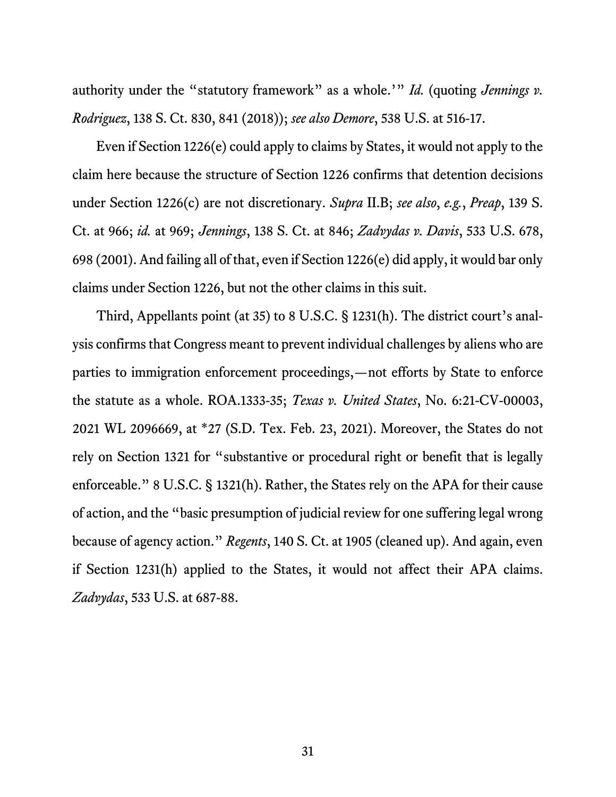authority under the "statutory framework" as a whole.'" *Id.* (quoting *Jennings v. Rodriguez*, 138 S. Ct. 830, 841 (2018)); *see also Demore*, 538 U.S. at 516-17.

Even if Section 1226(e) could apply to claims by States, it would not apply to the claim here because the structure of Section 1226 confirms that detention decisions under Section 1226(c) are not discretionary. *Supra* II.B; *see also*, *e.g.*, *Preap*, 139 S. Ct. at 966; *id.* at 969; *Jennings*, 138 S. Ct. at 846; *Zadvydas v. Davis*, 533 U.S. 678, 698 (2001). And failing all of that, even if Section 1226(e) did apply, it would bar only claims under Section 1226, but not the other claims in this suit.

Third, Appellants point (at 35) to 8 U.S.C. § 1231(h). The district court's analysis confirms that Congress meant to prevent individual challenges by aliens who are parties to immigration enforcement proceedings,—not efforts by State to enforce the statute as a whole. ROA.1333-35; *Texas v. United States*, No. 6:21-CV-00003, 2021 WL 2096669, at \*27 (S.D. Tex. Feb. 23, 2021). Moreover, the States do not rely on Section 1321 for "substantive or procedural right or benefit that is legally enforceable." 8 U.S.C. § 1321(h). Rather, the States rely on the APA for their cause of action, and the "basic presumption of judicial review for one suffering legal wrong because of agency action." *Regents*, 140 S. Ct. at 1905 (cleaned up). And again, even if Section 1231(h) applied to the States, it would not affect their APA claims. *Zadvydas*, 533 U.S. at 687-88.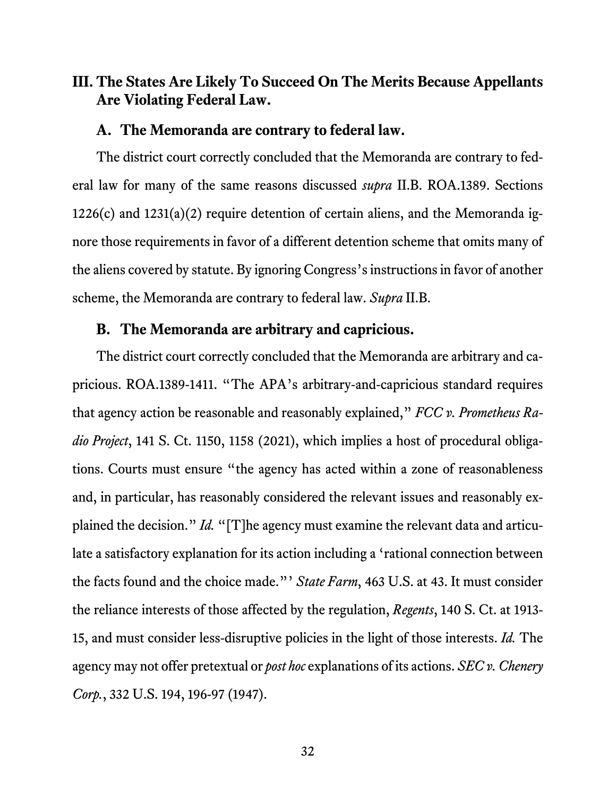## **III. The States Are Likely To Succeed On The Merits Because Appellants Are Violating Federal Law.**

#### **A. The Memoranda are contrary to federal law.**

The district court correctly concluded that the Memoranda are contrary to federal law for many of the same reasons discussed *supra* II.B. ROA.1389. Sections  $1226(c)$  and  $1231(a)(2)$  require detention of certain aliens, and the Memoranda ignore those requirements in favor of a different detention scheme that omits many of the aliens covered by statute. By ignoring Congress's instructions in favor of another scheme, the Memoranda are contrary to federal law. *Supra* II.B.

#### **B. The Memoranda are arbitrary and capricious.**

The district court correctly concluded that the Memoranda are arbitrary and capricious. ROA.1389-1411. "The APA's arbitrary-and-capricious standard requires that agency action be reasonable and reasonably explained," *FCC v. Prometheus Radio Project*, 141 S. Ct. 1150, 1158 (2021), which implies a host of procedural obligations. Courts must ensure "the agency has acted within a zone of reasonableness and, in particular, has reasonably considered the relevant issues and reasonably explained the decision." *Id.* "[T]he agency must examine the relevant data and articulate a satisfactory explanation for its action including a 'rational connection between the facts found and the choice made."' *State Farm*, 463 U.S. at 43. It must consider the reliance interests of those affected by the regulation, *Regents*, 140 S. Ct. at 1913- 15, and must consider less-disruptive policies in the light of those interests. *Id.* The agency may not offer pretextual or *post hoc* explanations of its actions. *SEC v. Chenery Corp.*, 332 U.S. 194, 196-97 (1947).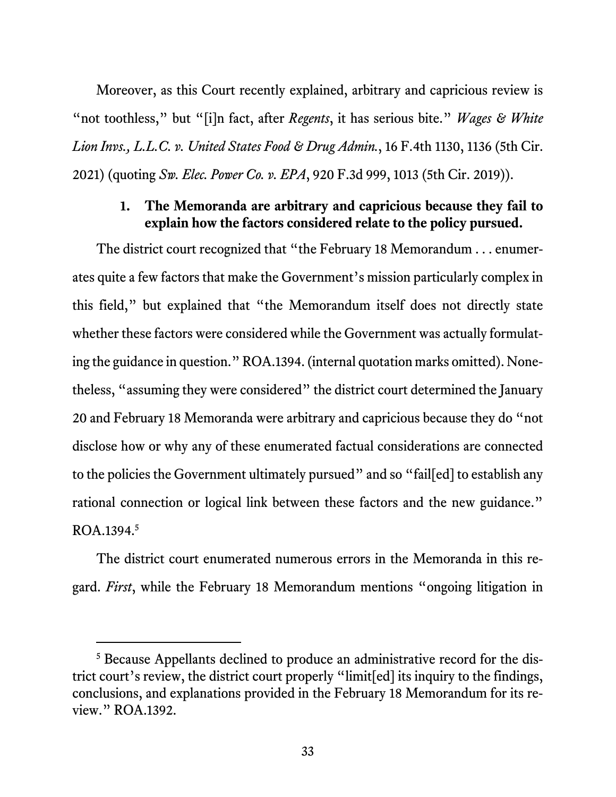Moreover, as this Court recently explained, arbitrary and capricious review is "not toothless," but "[i]n fact, after *Regents*, it has serious bite." *Wages & White Lion Invs., L.L.C. v. United States Food & Drug Admin.*, 16 F.4th 1130, 1136 (5th Cir. 2021) (quoting *Sw. Elec. Power Co. v. EPA*, 920 F.3d 999, 1013 (5th Cir. 2019)).

### **1. The Memoranda are arbitrary and capricious because they fail to explain how the factors considered relate to the policy pursued.**

The district court recognized that "the February 18 Memorandum . . . enumerates quite a few factors that make the Government's mission particularly complex in this field," but explained that "the Memorandum itself does not directly state whether these factors were considered while the Government was actually formulating the guidance in question." ROA.1394. (internal quotation marks omitted). Nonetheless, "assuming they were considered" the district court determined the January 20 and February 18 Memoranda were arbitrary and capricious because they do "not disclose how or why any of these enumerated factual considerations are connected to the policies the Government ultimately pursued" and so "fail[ed] to establish any rational connection or logical link between these factors and the new guidance." ROA.1394.5

The district court enumerated numerous errors in the Memoranda in this regard. *First*, while the February 18 Memorandum mentions "ongoing litigation in

<sup>&</sup>lt;sup>5</sup> Because Appellants declined to produce an administrative record for the district court's review, the district court properly "limit[ed] its inquiry to the findings, conclusions, and explanations provided in the February 18 Memorandum for its review." ROA.1392.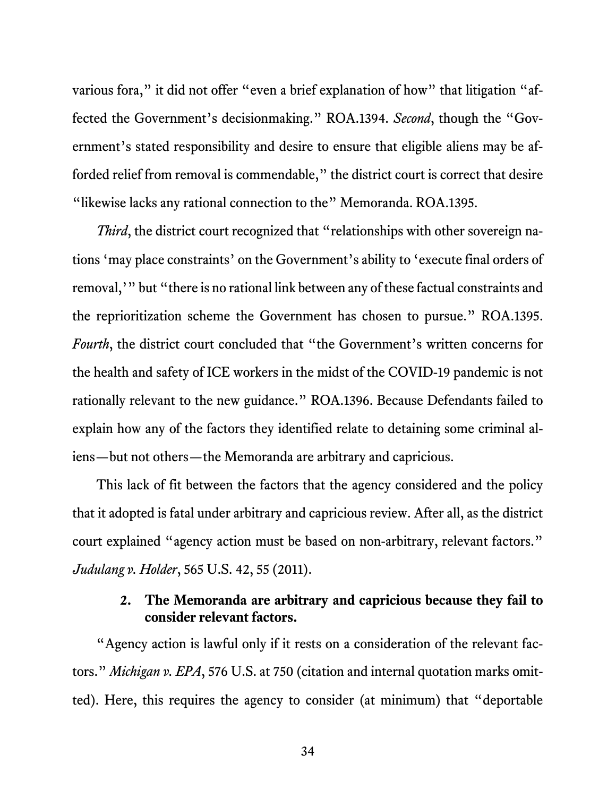various fora," it did not offer "even a brief explanation of how" that litigation "affected the Government's decisionmaking." ROA.1394. *Second*, though the "Government's stated responsibility and desire to ensure that eligible aliens may be afforded relief from removal is commendable," the district court is correct that desire "likewise lacks any rational connection to the" Memoranda. ROA.1395.

*Third*, the district court recognized that "relationships with other sovereign nations 'may place constraints' on the Government's ability to 'execute final orders of removal,'" but "there is no rational link between any of these factual constraints and the reprioritization scheme the Government has chosen to pursue." ROA.1395. *Fourth*, the district court concluded that "the Government's written concerns for the health and safety of ICE workers in the midst of the COVID-19 pandemic is not rationally relevant to the new guidance." ROA.1396. Because Defendants failed to explain how any of the factors they identified relate to detaining some criminal aliens—but not others—the Memoranda are arbitrary and capricious.

This lack of fit between the factors that the agency considered and the policy that it adopted is fatal under arbitrary and capricious review. After all, as the district court explained "agency action must be based on non-arbitrary, relevant factors." *Judulang v. Holder*, 565 U.S. 42, 55 (2011).

## **2. The Memoranda are arbitrary and capricious because they fail to consider relevant factors.**

"Agency action is lawful only if it rests on a consideration of the relevant factors." *Michigan v. EPA*, 576 U.S. at 750 (citation and internal quotation marks omitted). Here, this requires the agency to consider (at minimum) that "deportable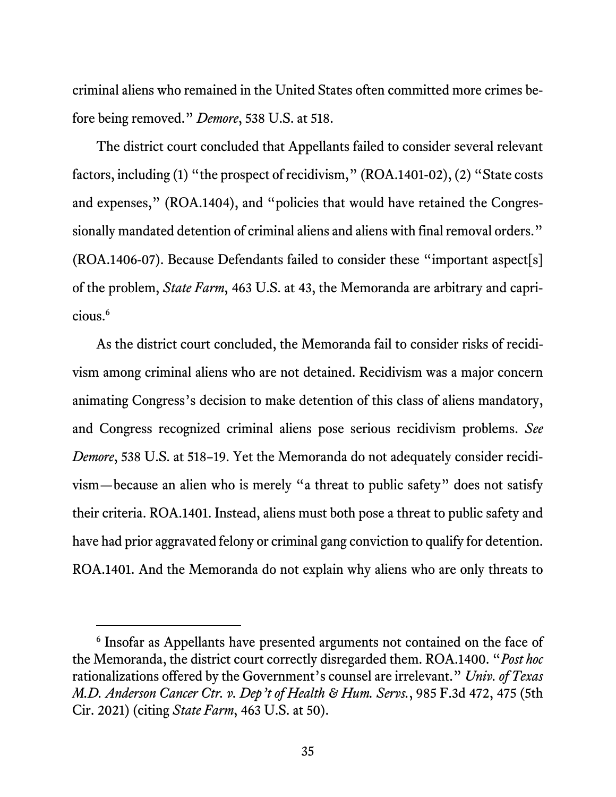criminal aliens who remained in the United States often committed more crimes before being removed." *Demore*, 538 U.S. at 518.

The district court concluded that Appellants failed to consider several relevant factors, including (1) "the prospect of recidivism," (ROA.1401-02), (2) "State costs and expenses," (ROA.1404), and "policies that would have retained the Congressionally mandated detention of criminal aliens and aliens with final removal orders." (ROA.1406-07). Because Defendants failed to consider these "important aspect[s] of the problem, *State Farm*, 463 U.S. at 43, the Memoranda are arbitrary and capricious.6

As the district court concluded, the Memoranda fail to consider risks of recidivism among criminal aliens who are not detained. Recidivism was a major concern animating Congress's decision to make detention of this class of aliens mandatory, and Congress recognized criminal aliens pose serious recidivism problems. *See Demore*, 538 U.S. at 518–19. Yet the Memoranda do not adequately consider recidivism—because an alien who is merely "a threat to public safety" does not satisfy their criteria. ROA.1401. Instead, aliens must both pose a threat to public safety and have had prior aggravated felony or criminal gang conviction to qualify for detention. ROA.1401. And the Memoranda do not explain why aliens who are only threats to

<sup>6</sup> Insofar as Appellants have presented arguments not contained on the face of the Memoranda, the district court correctly disregarded them. ROA.1400. "*Post hoc* rationalizations offered by the Government's counsel are irrelevant." *Univ. of Texas M.D. Anderson Cancer Ctr. v. Dep't of Health & Hum. Servs.*, 985 F.3d 472, 475 (5th Cir. 2021) (citing *State Farm*, 463 U.S. at 50).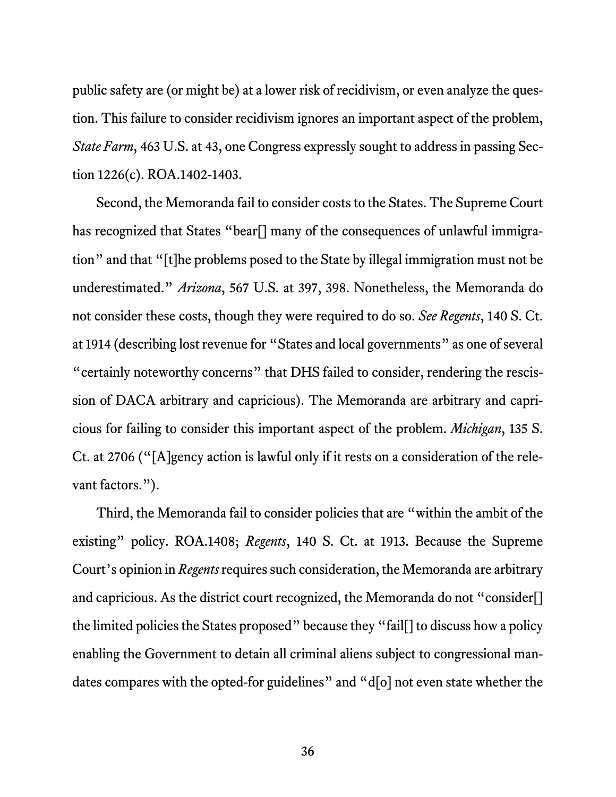public safety are (or might be) at a lower risk of recidivism, or even analyze the question. This failure to consider recidivism ignores an important aspect of the problem, *State Farm*, 463 U.S. at 43, one Congress expressly sought to address in passing Section 1226(c). ROA.1402-1403.

Second, the Memoranda fail to consider costs to the States. The Supreme Court has recognized that States "bear<sup>[]</sup> many of the consequences of unlawful immigration" and that "[t]he problems posed to the State by illegal immigration must not be underestimated." *Arizona*, 567 U.S. at 397, 398. Nonetheless, the Memoranda do not consider these costs, though they were required to do so. *See Regents*, 140 S. Ct. at 1914 (describing lost revenue for "States and local governments" as one of several "certainly noteworthy concerns" that DHS failed to consider, rendering the rescission of DACA arbitrary and capricious). The Memoranda are arbitrary and capricious for failing to consider this important aspect of the problem. *Michigan*, 135 S. Ct. at 2706 ("[A]gency action is lawful only if it rests on a consideration of the relevant factors.").

Third, the Memoranda fail to consider policies that are "within the ambit of the existing" policy. ROA.1408; *Regents*, 140 S. Ct. at 1913. Because the Supreme Court's opinion in *Regents* requires such consideration, the Memoranda are arbitrary and capricious. As the district court recognized, the Memoranda do not "consider[] the limited policies the States proposed" because they "fail[] to discuss how a policy enabling the Government to detain all criminal aliens subject to congressional mandates compares with the opted-for guidelines" and "d[o] not even state whether the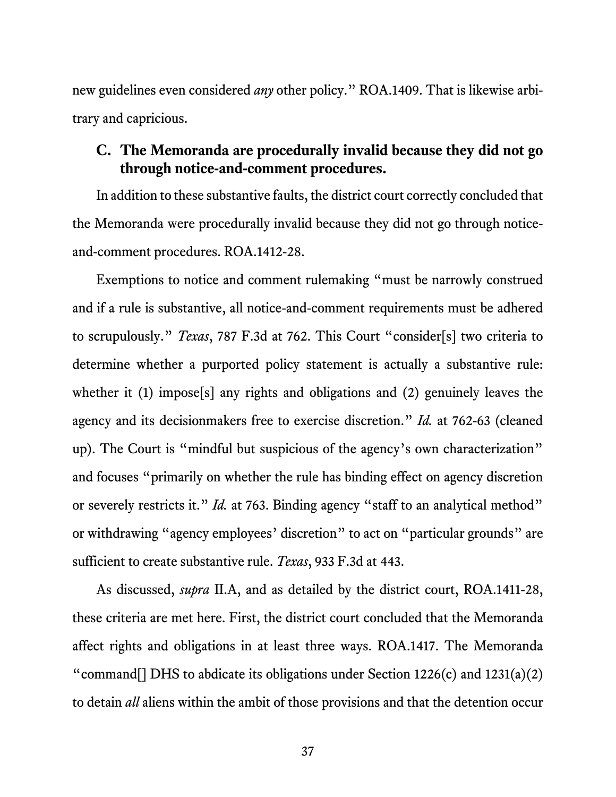new guidelines even considered *any* other policy." ROA.1409. That is likewise arbitrary and capricious.

## **C. The Memoranda are procedurally invalid because they did not go through notice-and-comment procedures.**

In addition to these substantive faults, the district court correctly concluded that the Memoranda were procedurally invalid because they did not go through noticeand-comment procedures. ROA.1412-28.

Exemptions to notice and comment rulemaking "must be narrowly construed and if a rule is substantive, all notice-and-comment requirements must be adhered to scrupulously." *Texas*, 787 F.3d at 762. This Court "consider[s] two criteria to determine whether a purported policy statement is actually a substantive rule: whether it (1) impose<sup>[5]</sup> any rights and obligations and (2) genuinely leaves the agency and its decisionmakers free to exercise discretion." *Id.* at 762-63 (cleaned up). The Court is "mindful but suspicious of the agency's own characterization" and focuses "primarily on whether the rule has binding effect on agency discretion or severely restricts it." *Id.* at 763. Binding agency "staff to an analytical method" or withdrawing "agency employees' discretion" to act on "particular grounds" are sufficient to create substantive rule. *Texas*, 933 F.3d at 443.

As discussed, *supra* II.A, and as detailed by the district court, ROA.1411-28, these criteria are met here. First, the district court concluded that the Memoranda affect rights and obligations in at least three ways. ROA.1417. The Memoranda "command<sup>[]</sup> DHS to abdicate its obligations under Section 1226(c) and 1231(a)(2) to detain *all* aliens within the ambit of those provisions and that the detention occur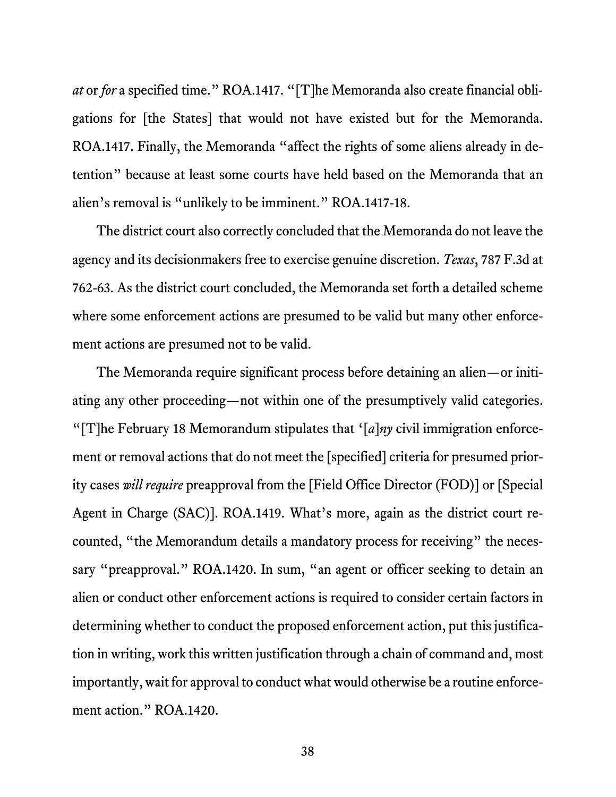*at* or *for* a specified time." ROA.1417. "[T]he Memoranda also create financial obligations for [the States] that would not have existed but for the Memoranda. ROA.1417. Finally, the Memoranda "affect the rights of some aliens already in detention" because at least some courts have held based on the Memoranda that an alien's removal is "unlikely to be imminent." ROA.1417-18.

The district court also correctly concluded that the Memoranda do not leave the agency and its decisionmakers free to exercise genuine discretion. *Texas*, 787 F.3d at 762-63. As the district court concluded, the Memoranda set forth a detailed scheme where some enforcement actions are presumed to be valid but many other enforcement actions are presumed not to be valid.

The Memoranda require significant process before detaining an alien—or initiating any other proceeding—not within one of the presumptively valid categories. "[T]he February 18 Memorandum stipulates that '[*a*]*ny* civil immigration enforcement or removal actions that do not meet the [specified] criteria for presumed priority cases *will require* preapproval from the [Field Office Director (FOD)] or [Special Agent in Charge (SAC)]. ROA.1419. What's more, again as the district court recounted, "the Memorandum details a mandatory process for receiving" the necessary "preapproval." ROA.1420. In sum, "an agent or officer seeking to detain an alien or conduct other enforcement actions is required to consider certain factors in determining whether to conduct the proposed enforcement action, put this justification in writing, work this written justification through a chain of command and, most importantly, wait for approval to conduct what would otherwise be a routine enforcement action." ROA.1420.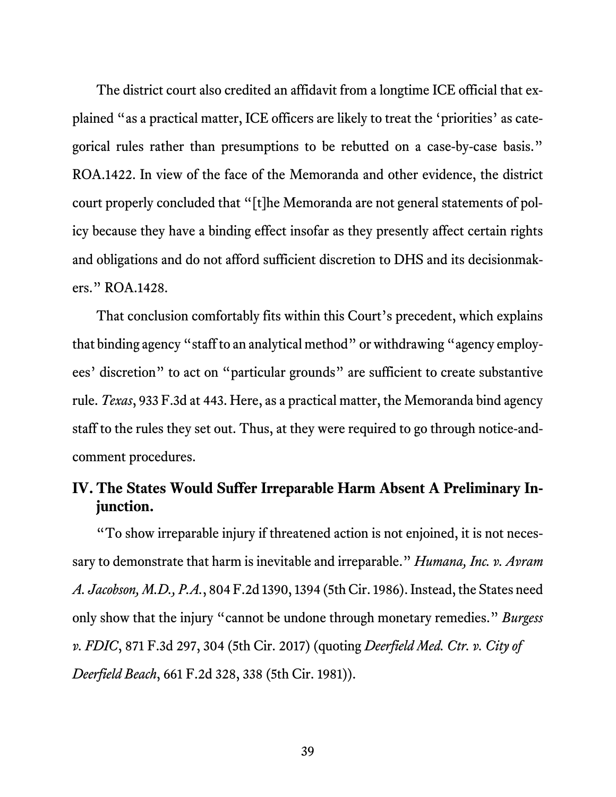The district court also credited an affidavit from a longtime ICE official that explained "as a practical matter, ICE officers are likely to treat the 'priorities' as categorical rules rather than presumptions to be rebutted on a case-by-case basis." ROA.1422. In view of the face of the Memoranda and other evidence, the district court properly concluded that "[t]he Memoranda are not general statements of policy because they have a binding effect insofar as they presently affect certain rights and obligations and do not afford sufficient discretion to DHS and its decisionmakers." ROA.1428.

That conclusion comfortably fits within this Court's precedent, which explains that binding agency "staff to an analytical method" or withdrawing "agency employees' discretion" to act on "particular grounds" are sufficient to create substantive rule. *Texas*, 933 F.3d at 443. Here, as a practical matter, the Memoranda bind agency staff to the rules they set out. Thus, at they were required to go through notice-andcomment procedures.

## **IV. The States Would Suffer Irreparable Harm Absent A Preliminary Injunction.**

"To show irreparable injury if threatened action is not enjoined, it is not necessary to demonstrate that harm is inevitable and irreparable." *Humana, Inc. v. Avram A. Jacobson, M.D., P.A.*, 804 F.2d 1390, 1394 (5th Cir. 1986). Instead, the States need only show that the injury "cannot be undone through monetary remedies." *Burgess v. FDIC*, 871 F.3d 297, 304 (5th Cir. 2017) (quoting *Deerfield Med. Ctr. v. City of Deerfield Beach*, 661 F.2d 328, 338 (5th Cir. 1981)).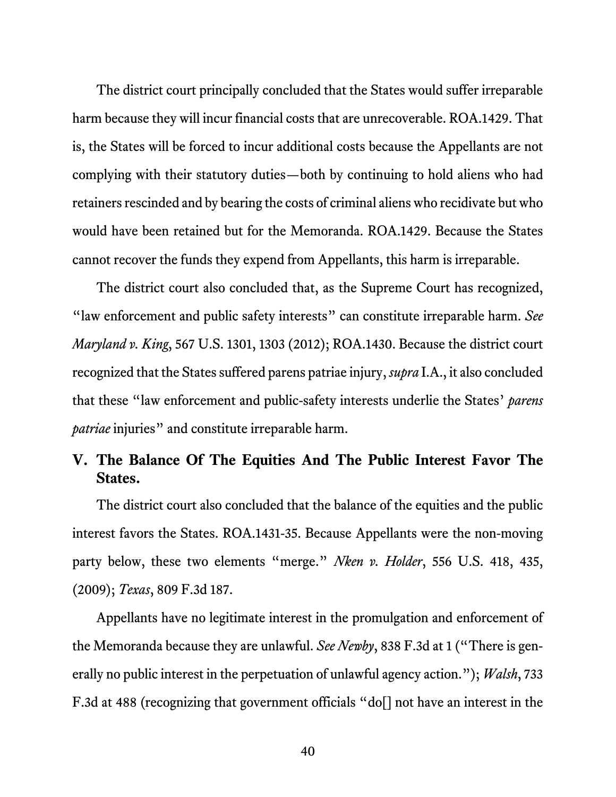The district court principally concluded that the States would suffer irreparable harm because they will incur financial costs that are unrecoverable. ROA.1429. That is, the States will be forced to incur additional costs because the Appellants are not complying with their statutory duties—both by continuing to hold aliens who had retainers rescinded and by bearing the costs of criminal aliens who recidivate but who would have been retained but for the Memoranda. ROA.1429. Because the States cannot recover the funds they expend from Appellants, this harm is irreparable.

 The district court also concluded that, as the Supreme Court has recognized, "law enforcement and public safety interests" can constitute irreparable harm. *See Maryland v. King*, 567 U.S. 1301, 1303 (2012); ROA.1430. Because the district court recognized that the States suffered parens patriae injury, *supra* I.A., it also concluded that these "law enforcement and public-safety interests underlie the States' *parens patriae* injuries" and constitute irreparable harm.

## **V. The Balance Of The Equities And The Public Interest Favor The States.**

The district court also concluded that the balance of the equities and the public interest favors the States. ROA.1431-35. Because Appellants were the non-moving party below, these two elements "merge." *Nken v. Holder*, 556 U.S. 418, 435, (2009); *Texas*, 809 F.3d 187.

Appellants have no legitimate interest in the promulgation and enforcement of the Memoranda because they are unlawful. *See Newby*, 838 F.3d at 1 ("There is generally no public interest in the perpetuation of unlawful agency action."); *Walsh*, 733 F.3d at 488 (recognizing that government officials "do<sup>[]</sup> not have an interest in the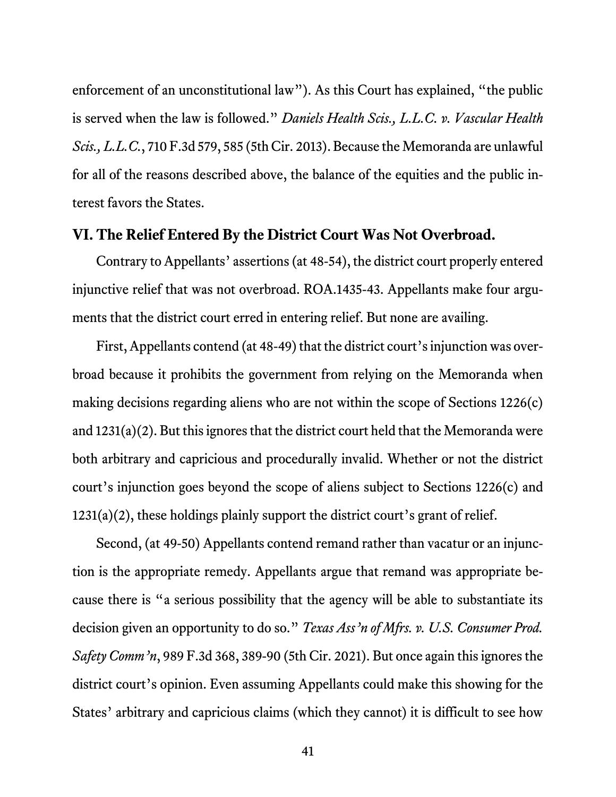enforcement of an unconstitutional law"). As this Court has explained, "the public is served when the law is followed." *Daniels Health Scis., L.L.C. v. Vascular Health Scis., L.L.C.*, 710 F.3d 579, 585 (5th Cir. 2013). Because the Memoranda are unlawful for all of the reasons described above, the balance of the equities and the public interest favors the States.

#### **VI. The Relief Entered By the District Court Was Not Overbroad.**

Contrary to Appellants' assertions (at 48-54), the district court properly entered injunctive relief that was not overbroad. ROA.1435-43. Appellants make four arguments that the district court erred in entering relief. But none are availing.

First, Appellants contend (at 48-49) that the district court's injunction was overbroad because it prohibits the government from relying on the Memoranda when making decisions regarding aliens who are not within the scope of Sections 1226(c) and 1231(a)(2). But this ignores that the district court held that the Memoranda were both arbitrary and capricious and procedurally invalid. Whether or not the district court's injunction goes beyond the scope of aliens subject to Sections 1226(c) and 1231(a)(2), these holdings plainly support the district court's grant of relief.

Second, (at 49-50) Appellants contend remand rather than vacatur or an injunction is the appropriate remedy. Appellants argue that remand was appropriate because there is "a serious possibility that the agency will be able to substantiate its decision given an opportunity to do so." *Texas Ass'n of Mfrs. v. U.S. Consumer Prod. Safety Comm'n*, 989 F.3d 368, 389-90 (5th Cir. 2021). But once again this ignores the district court's opinion. Even assuming Appellants could make this showing for the States' arbitrary and capricious claims (which they cannot) it is difficult to see how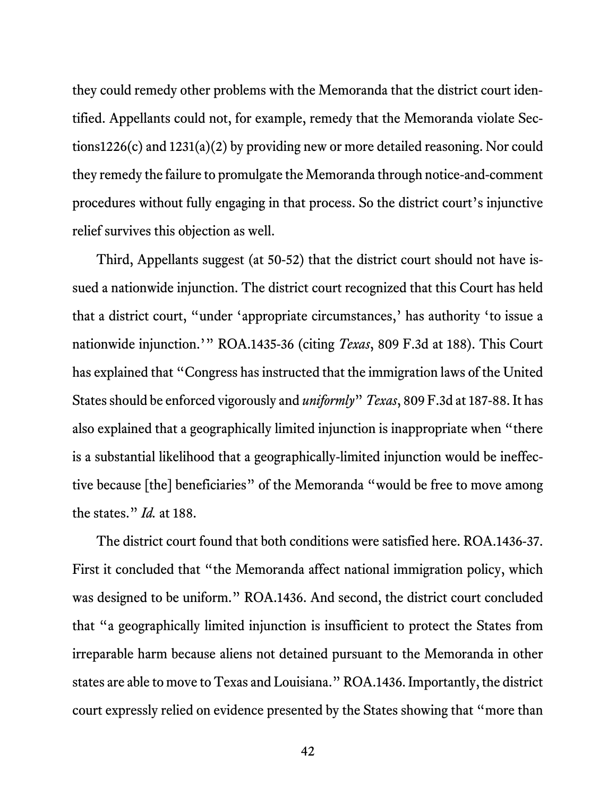they could remedy other problems with the Memoranda that the district court identified. Appellants could not, for example, remedy that the Memoranda violate Sections1226(c) and 1231(a)(2) by providing new or more detailed reasoning. Nor could they remedy the failure to promulgate the Memoranda through notice-and-comment procedures without fully engaging in that process. So the district court's injunctive relief survives this objection as well.

Third, Appellants suggest (at 50-52) that the district court should not have issued a nationwide injunction. The district court recognized that this Court has held that a district court, "under 'appropriate circumstances,' has authority 'to issue a nationwide injunction.'" ROA.1435-36 (citing *Texas*, 809 F.3d at 188). This Court has explained that "Congress has instructed that the immigration laws of the United States should be enforced vigorously and *uniformly*" *Texas*, 809 F.3d at 187-88. It has also explained that a geographically limited injunction is inappropriate when "there is a substantial likelihood that a geographically-limited injunction would be ineffective because [the] beneficiaries" of the Memoranda "would be free to move among the states." *Id.* at 188.

The district court found that both conditions were satisfied here. ROA.1436-37. First it concluded that "the Memoranda affect national immigration policy, which was designed to be uniform." ROA.1436. And second, the district court concluded that "a geographically limited injunction is insufficient to protect the States from irreparable harm because aliens not detained pursuant to the Memoranda in other states are able to move to Texas and Louisiana." ROA.1436. Importantly, the district court expressly relied on evidence presented by the States showing that "more than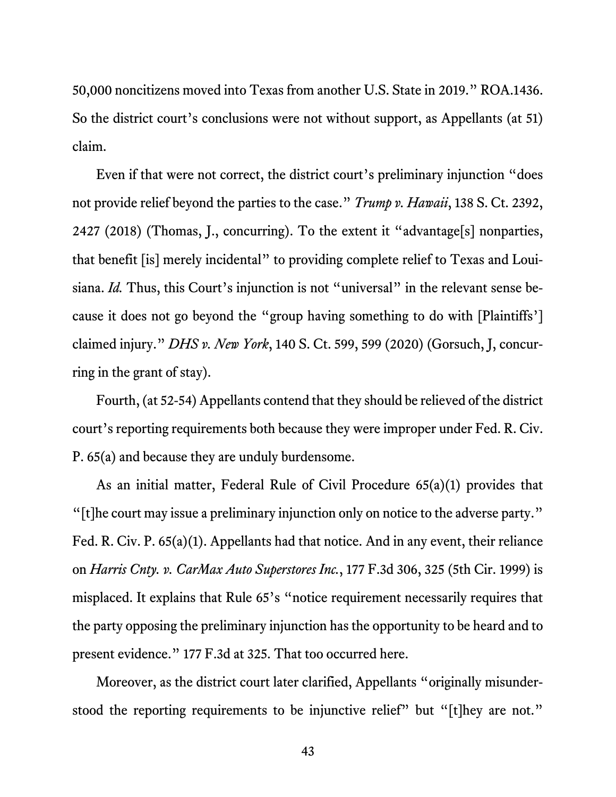50,000 noncitizens moved into Texas from another U.S. State in 2019." ROA.1436. So the district court's conclusions were not without support, as Appellants (at 51) claim.

Even if that were not correct, the district court's preliminary injunction "does not provide relief beyond the parties to the case." *Trump v. Hawaii*, 138 S. Ct. 2392, 2427 (2018) (Thomas, J., concurring). To the extent it "advantage[s] nonparties, that benefit [is] merely incidental" to providing complete relief to Texas and Louisiana. *Id.* Thus, this Court's injunction is not "universal" in the relevant sense because it does not go beyond the "group having something to do with [Plaintiffs'] claimed injury." *DHS v. New York*, 140 S. Ct. 599, 599 (2020) (Gorsuch, J, concurring in the grant of stay).

Fourth, (at 52-54) Appellants contend that they should be relieved of the district court's reporting requirements both because they were improper under Fed. R. Civ. P. 65(a) and because they are unduly burdensome.

As an initial matter, Federal Rule of Civil Procedure 65(a)(1) provides that "[t]he court may issue a preliminary injunction only on notice to the adverse party." Fed. R. Civ. P. 65(a)(1). Appellants had that notice. And in any event, their reliance on *Harris Cnty. v. CarMax Auto Superstores Inc.*, 177 F.3d 306, 325 (5th Cir. 1999) is misplaced. It explains that Rule 65's "notice requirement necessarily requires that the party opposing the preliminary injunction has the opportunity to be heard and to present evidence." 177 F.3d at 325. That too occurred here.

Moreover, as the district court later clarified, Appellants "originally misunderstood the reporting requirements to be injunctive relief" but "[t]hey are not."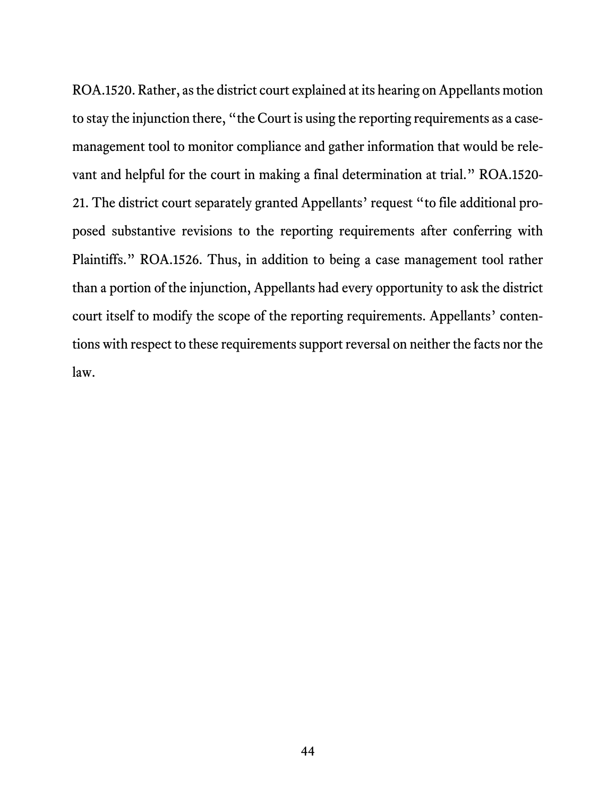ROA.1520. Rather, as the district court explained at its hearing on Appellants motion to stay the injunction there, "the Court is using the reporting requirements as a casemanagement tool to monitor compliance and gather information that would be relevant and helpful for the court in making a final determination at trial." ROA.1520- 21. The district court separately granted Appellants' request "to file additional proposed substantive revisions to the reporting requirements after conferring with Plaintiffs." ROA.1526. Thus, in addition to being a case management tool rather than a portion of the injunction, Appellants had every opportunity to ask the district court itself to modify the scope of the reporting requirements. Appellants' contentions with respect to these requirements support reversal on neither the facts nor the law.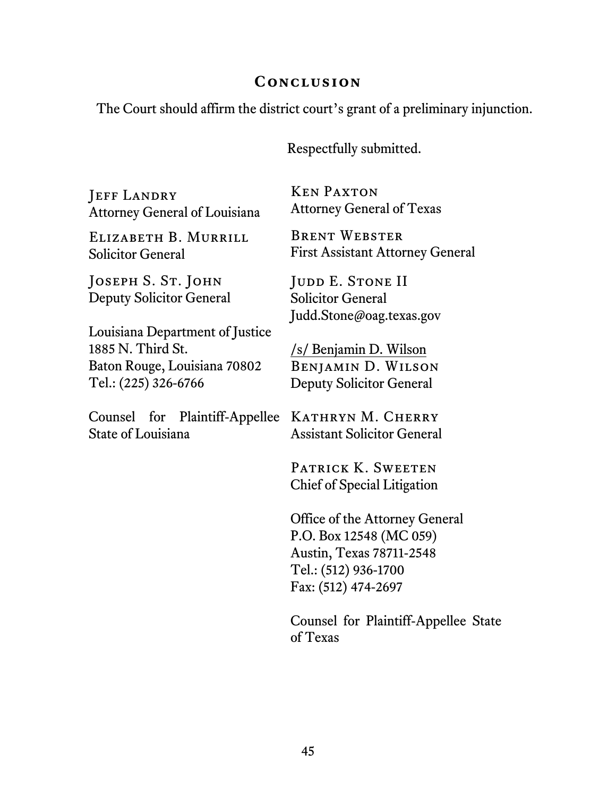#### **Conclusion**

The Court should affirm the district court's grant of a preliminary injunction.

Respectfully submitted.

**JEFF LANDRY** Attorney General of Louisiana

Elizabeth B. Murrill Solicitor General

JOSEPH S. ST. JOHN Deputy Solicitor General

Louisiana Department of Justice 1885 N. Third St. Baton Rouge, Louisiana 70802 Tel.: (225) 326-6766

Counsel for Plaintiff-Appellee KATHRYN M. CHERRY State of Louisiana

Ken Paxton Attorney General of Texas

Brent Webster First Assistant Attorney General

JUDD E. STONE II Solicitor General Judd.Stone@oag.texas.gov

/s/ Benjamin D. Wilson Benjamin D. Wilson Deputy Solicitor General

Assistant Solicitor General

PATRICK K. SWEETEN Chief of Special Litigation

Office of the Attorney General P.O. Box 12548 (MC 059) Austin, Texas 78711-2548 Tel.: (512) 936-1700 Fax: (512) 474-2697

Counsel for Plaintiff-Appellee State of Texas